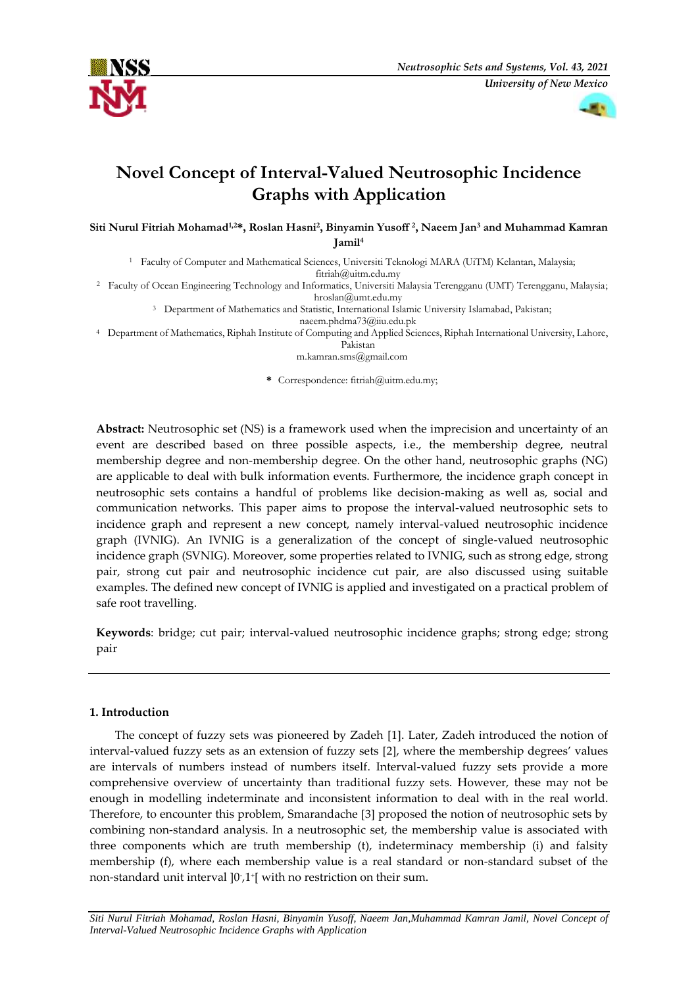



# **Novel Concept of Interval-Valued Neutrosophic Incidence Graphs with Application**

**Siti Nurul Fitriah Mohamad1,2\*, Roslan Hasni<sup>2</sup> , Binyamin Yusoff <sup>2</sup> , Naeem Jan<sup>3</sup> and Muhammad Kamran Jamil<sup>4</sup>**

<sup>1</sup> Faculty of Computer and Mathematical Sciences, Universiti Teknologi MARA (UiTM) Kelantan, Malaysia;

[fitriah@uitm.edu.my](mailto:fitriah@uitm.edu.my)

<sup>2</sup> Faculty of Ocean Engineering Technology and Informatics, Universiti Malaysia Terengganu (UMT) Terengganu, Malaysia;

[hroslan@umt.edu.my](mailto:hroslan@umt.edu.my)

<sup>3</sup> Department of Mathematics and Statistic, International Islamic University Islamabad, Pakistan;

[naeem.phdma73@iiu.edu.pk](mailto:naeem.phdma73@iiu.edu.pk)

<sup>4</sup> Department of Mathematics, Riphah Institute of Computing and Applied Sciences, Riphah International University, Lahore,

Pakistan

[m.kamran.sms@gmail.com](mailto:m.kamran.sms@gmail.com)

**\*** Correspondence: fitriah@uitm.edu.my;

**Abstract:** Neutrosophic set (NS) is a framework used when the imprecision and uncertainty of an event are described based on three possible aspects, i.e., the membership degree, neutral membership degree and non-membership degree. On the other hand, neutrosophic graphs (NG) are applicable to deal with bulk information events. Furthermore, the incidence graph concept in neutrosophic sets contains a handful of problems like decision-making as well as, social and communication networks. This paper aims to propose the interval-valued neutrosophic sets to incidence graph and represent a new concept, namely interval-valued neutrosophic incidence graph (IVNIG). An IVNIG is a generalization of the concept of single-valued neutrosophic incidence graph (SVNIG). Moreover, some properties related to IVNIG, such as strong edge, strong pair, strong cut pair and neutrosophic incidence cut pair, are also discussed using suitable examples. The defined new concept of IVNIG is applied and investigated on a practical problem of safe root travelling.

**Keywords**: bridge; cut pair; interval-valued neutrosophic incidence graphs; strong edge; strong pair

# **1. Introduction**

The concept of fuzzy sets was pioneered by Zadeh [1]. Later, Zadeh introduced the notion of interval-valued fuzzy sets as an extension of fuzzy sets [2], where the membership degrees' values are intervals of numbers instead of numbers itself. Interval-valued fuzzy sets provide a more comprehensive overview of uncertainty than traditional fuzzy sets. However, these may not be enough in modelling indeterminate and inconsistent information to deal with in the real world. Therefore, to encounter this problem, Smarandache [3] proposed the notion of neutrosophic sets by combining non-standard analysis. In a neutrosophic set, the membership value is associated with three components which are truth membership (t), indeterminacy membership (i) and falsity membership (f), where each membership value is a real standard or non-standard subset of the non-standard unit interval ]0- ,1<sup>+</sup> [ with no restriction on their sum.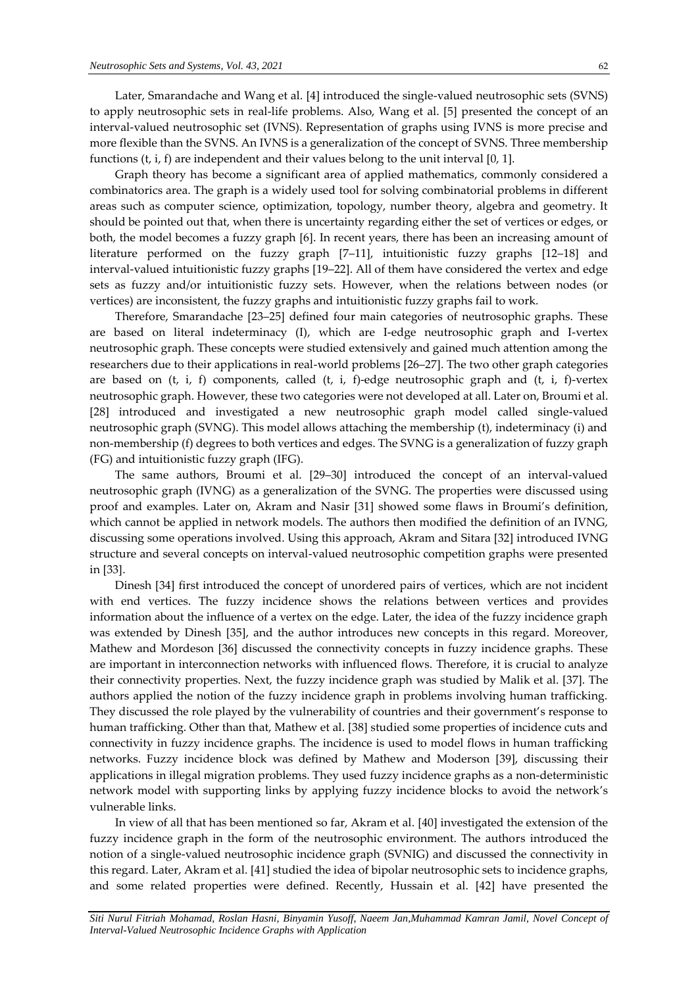Later, Smarandache and Wang et al. [4] introduced the single-valued neutrosophic sets (SVNS) to apply neutrosophic sets in real-life problems. Also, Wang et al. [5] presented the concept of an interval-valued neutrosophic set (IVNS). Representation of graphs using IVNS is more precise and more flexible than the SVNS. An IVNS is a generalization of the concept of SVNS. Three membership functions  $(t, i, f)$  are independent and their values belong to the unit interval [0, 1].

Graph theory has become a significant area of applied mathematics, commonly considered a combinatorics area. The graph is a widely used tool for solving combinatorial problems in different areas such as computer science, optimization, topology, number theory, algebra and geometry. It should be pointed out that, when there is uncertainty regarding either the set of vertices or edges, or both, the model becomes a fuzzy graph [6]. In recent years, there has been an increasing amount of literature performed on the fuzzy graph [7–11], intuitionistic fuzzy graphs [12–18] and interval-valued intuitionistic fuzzy graphs [19–22]. All of them have considered the vertex and edge sets as fuzzy and/or intuitionistic fuzzy sets. However, when the relations between nodes (or vertices) are inconsistent, the fuzzy graphs and intuitionistic fuzzy graphs fail to work.

Therefore, Smarandache [23–25] defined four main categories of neutrosophic graphs. These are based on literal indeterminacy (I), which are I-edge neutrosophic graph and I-vertex neutrosophic graph. These concepts were studied extensively and gained much attention among the researchers due to their applications in real-world problems [26–27]. The two other graph categories are based on  $(t, i, f)$  components, called  $(t, i, f)$ -edge neutrosophic graph and  $(t, i, f)$ -vertex neutrosophic graph. However, these two categories were not developed at all. Later on, Broumi et al. [28] introduced and investigated a new neutrosophic graph model called single-valued neutrosophic graph (SVNG). This model allows attaching the membership (t), indeterminacy (i) and non-membership (f) degrees to both vertices and edges. The SVNG is a generalization of fuzzy graph (FG) and intuitionistic fuzzy graph (IFG).

The same authors, Broumi et al. [29–30] introduced the concept of an interval-valued neutrosophic graph (IVNG) as a generalization of the SVNG. The properties were discussed using proof and examples. Later on, Akram and Nasir [31] showed some flaws in Broumi's definition, which cannot be applied in network models. The authors then modified the definition of an IVNG, discussing some operations involved. Using this approach, Akram and Sitara [32] introduced IVNG structure and several concepts on interval-valued neutrosophic competition graphs were presented in [33].

Dinesh [34] first introduced the concept of unordered pairs of vertices, which are not incident with end vertices. The fuzzy incidence shows the relations between vertices and provides information about the influence of a vertex on the edge. Later, the idea of the fuzzy incidence graph was extended by Dinesh [35], and the author introduces new concepts in this regard. Moreover, Mathew and Mordeson [36] discussed the connectivity concepts in fuzzy incidence graphs. These are important in interconnection networks with influenced flows. Therefore, it is crucial to analyze their connectivity properties. Next, the fuzzy incidence graph was studied by Malik et al. [37]. The authors applied the notion of the fuzzy incidence graph in problems involving human trafficking. They discussed the role played by the vulnerability of countries and their government's response to human trafficking. Other than that, Mathew et al. [38] studied some properties of incidence cuts and connectivity in fuzzy incidence graphs. The incidence is used to model flows in human trafficking networks. Fuzzy incidence block was defined by Mathew and Moderson [39], discussing their applications in illegal migration problems. They used fuzzy incidence graphs as a non-deterministic network model with supporting links by applying fuzzy incidence blocks to avoid the network's vulnerable links.

In view of all that has been mentioned so far, Akram et al. [40] investigated the extension of the fuzzy incidence graph in the form of the neutrosophic environment. The authors introduced the notion of a single-valued neutrosophic incidence graph (SVNIG) and discussed the connectivity in this regard. Later, Akram et al. [41] studied the idea of bipolar neutrosophic sets to incidence graphs, and some related properties were defined. Recently, Hussain et al. [42] have presented the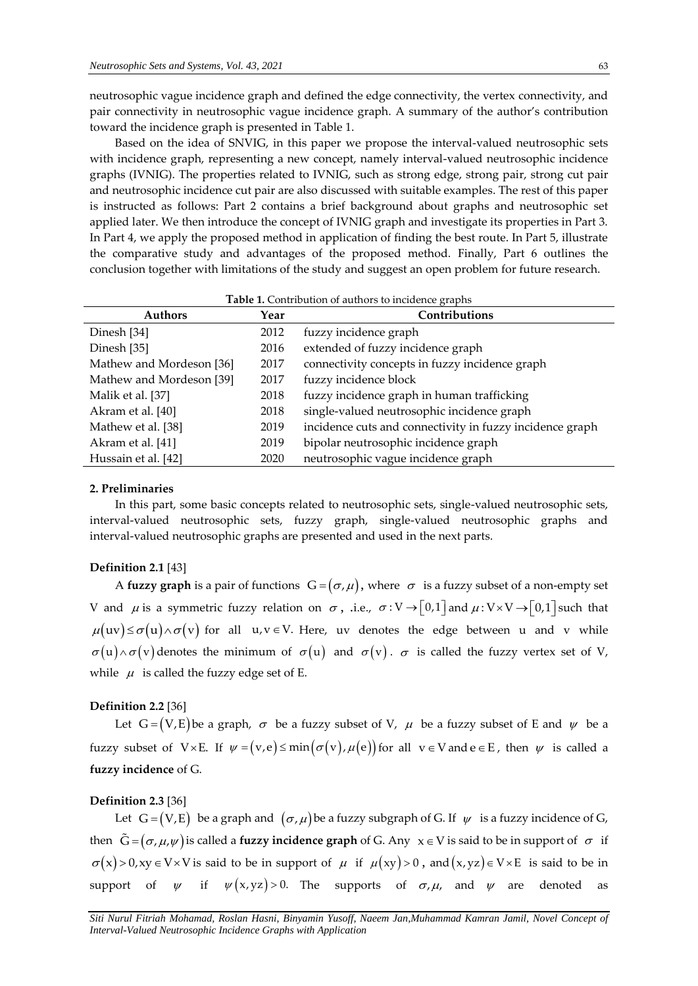neutrosophic vague incidence graph and defined the edge connectivity, the vertex connectivity, and pair connectivity in neutrosophic vague incidence graph. A summary of the author's contribution toward the incidence graph is presented in Table 1.

Based on the idea of SNVIG, in this paper we propose the interval-valued neutrosophic sets with incidence graph, representing a new concept, namely interval-valued neutrosophic incidence graphs (IVNIG). The properties related to IVNIG, such as strong edge, strong pair, strong cut pair and neutrosophic incidence cut pair are also discussed with suitable examples. The rest of this paper is instructed as follows: Part 2 contains a brief background about graphs and neutrosophic set applied later. We then introduce the concept of IVNIG graph and investigate its properties in Part 3. In Part 4, we apply the proposed method in application of finding the best route. In Part 5, illustrate the comparative study and advantages of the proposed method. Finally, Part 6 outlines the conclusion together with limitations of the study and suggest an open problem for future research.

| <b>Table 1.</b> Contribution of authors to including graphs |      |                                                          |  |  |
|-------------------------------------------------------------|------|----------------------------------------------------------|--|--|
| <b>Authors</b>                                              | Year | Contributions                                            |  |  |
| Dinesh [34]                                                 | 2012 | fuzzy incidence graph                                    |  |  |
| Dinesh [35]                                                 | 2016 | extended of fuzzy incidence graph                        |  |  |
| Mathew and Mordeson [36]                                    | 2017 | connectivity concepts in fuzzy incidence graph           |  |  |
| Mathew and Mordeson [39]                                    | 2017 | fuzzy incidence block                                    |  |  |
| Malik et al. [37]                                           | 2018 | fuzzy incidence graph in human trafficking               |  |  |
| Akram et al. [40]                                           | 2018 | single-valued neutrosophic incidence graph               |  |  |
| Mathew et al. [38]                                          | 2019 | incidence cuts and connectivity in fuzzy incidence graph |  |  |
| Akram et al. [41]                                           | 2019 | bipolar neutrosophic incidence graph                     |  |  |
| Hussain et al. [42]                                         | 2020 | neutrosophic vague incidence graph                       |  |  |

**Table 1.** Contribution of authors to incidence graphs

#### **2. Preliminaries**

In this part, some basic concepts related to neutrosophic sets, single-valued neutrosophic sets, interval-valued neutrosophic sets, fuzzy graph, single-valued neutrosophic graphs and interval-valued neutrosophic graphs are presented and used in the next parts.

## **Definition 2.1** [43]

A **fuzzy graph** is a pair of functions  $G = (\sigma, \mu)$ , where  $\sigma$  is a fuzzy subset of a non-empty set V and  $\mu$  is a symmetric fuzzy relation on  $\sigma$ , .i.e.,  $\sigma: V \to [0,1]$  and  $\mu: V \times V \to [0,1]$  such that  $\mu(uv) \leq \sigma(u) \wedge \sigma(v)$  for all  $u,v \in V$ . Here, uv denotes the edge between u and v while  $\sigma(u) \wedge \sigma(v)$  denotes the minimum of  $\sigma(u)$  and  $\sigma(v)$ .  $\sigma$  is called the fuzzy vertex set of V, while  $\;\mu\;$  is called the fuzzy edge set of E.

## **Definition 2.2** [36]

Let  $G = (V, E)$  be a graph,  $\sigma$  be a fuzzy subset of V,  $\mu$  be a fuzzy subset of E and  $\psi$  be a fuzzy subset of  $V\times E$ . If  $\psi = (v,e) \le \min(\sigma(v), \mu(e))$  for all  $v \in V$  and  $e \in E$ , then  $\psi$  is called a **fuzzy incidence** of G.

## **Definition 2.3** [36]

Let  $G = (V, E)$  be a graph and  $(\sigma, \mu)$  be a fuzzy subgraph of G. If  $\psi$  is a fuzzy incidence of G, then  $G = (\sigma, \mu, \psi)$  is called a **fuzzy incidence graph** of G. Any  $x \in V$  is said to be in support of  $\sigma$  if  $\sigma(x) > 0$ ,  $xy \in V \times V$  is said to be in support of  $\mu$  if  $\mu(xy) > 0$ , and  $(x, yz) \in V \times E$  is said to be in support of  $\psi$  if  $\psi(x,yz) > 0$ . The supports of  $\sigma, \mu$ , and  $\psi$ denoted as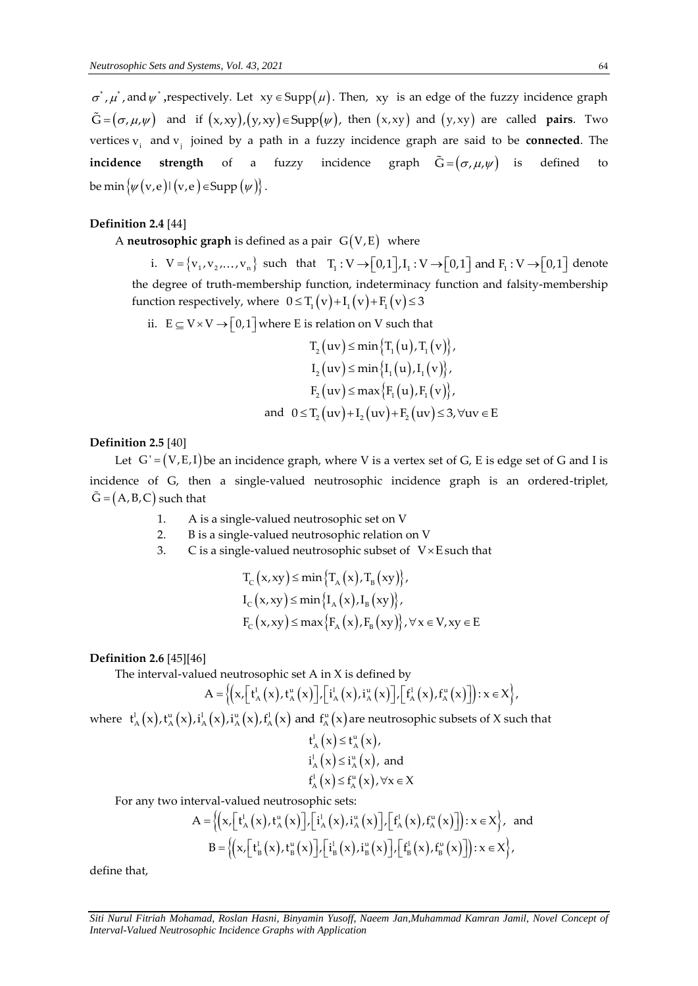$\sigma^*$ ,  $\mu^*$ , and  $\psi^*$ , respectively. Let  $xy \in \text{Supp}(\mu)$ . Then, xy is an edge of the fuzzy incidence graph  $\tilde{G} = (\sigma, \mu, \psi)$  and if  $(x, xy), (y, xy) \in \text{Supp}(\psi)$ , then  $(x, xy)$  and  $(y, xy)$  are called **pairs**. Two vertices v<sub>i</sub> and v<sub>j</sub> joined by a path in a fuzzy incidence graph are said to be **connected**. The  $\mathsf{incidence}$  strength of a fuzzy incidence graph  $\mathsf{G=}(\sigma,\mu,\psi)$ defined to be min  $\{\psi(\mathbf{v},\mathbf{e}) | (\mathbf{v},\mathbf{e}) \in \text{Supp } (\psi)\}.$ 

## **Definition 2.4** [44]

A **neutrosophic graph** is defined as a pair  $G(V,E)$  where

**rosophic graph** is defined as a pair  $G(V,E)$  where<br>i.  $V = \{v_1, v_2,..., v_n\}$  such that  $T_1 : V \rightarrow [0,1], I_1 : V \rightarrow [0,1]$  and  $F_1 : V \rightarrow [0,1]$  denote the degree of truth-membership function, indeterminacy function and falsity-membership function respectively, where  $0 \leq T_1(v) + I_1(v) + F_1(v) \leq 3$ 

ii.  $E \subseteq V \times V \rightarrow [0,1]$  where E is relation on V such that

$$
T_2 (uv) \le \min \{T_1 (u), T_1 (v)\},
$$
  
\n
$$
I_2 (uv) \le \min \{I_1 (u), I_1 (v)\},
$$
  
\n
$$
F_2 (uv) \le \max \{F_1 (u), F_1 (v)\},
$$
  
\nand 
$$
0 \le T_2 (uv) + I_2 (uv) + F_2 (uv) \le 3, \forall uv \in E
$$

## **Definition 2.5** [40]

Let  $G' = (V, E, I)$  be an incidence graph, where V is a vertex set of G, E is edge set of G and I is incidence of G, then a single-valued neutrosophic incidence graph is an ordered-triplet,  $\tilde{G} = (A, B, C)$  such that

- 1. A is a single-valued neutrosophic set on V
- 2. B is a single-valued neutrosophic relation on V
- 3. C is a single-valued neutrosophic subset of  $V \times E$  such that

$$
T_{C}(x, xy) \le \min\left\{T_{A}(x), T_{B}(xy)\right\},
$$
  
\n
$$
I_{C}(x, xy) \le \min\left\{I_{A}(x), I_{B}(xy)\right\},
$$
  
\n
$$
F_{C}(x, xy) \le \max\left\{F_{A}(x), F_{B}(xy)\right\}, \forall x \in V, xy \in E
$$

## **Definition 2.6** [45][46]

The interval-valued neutrosophic set A in X is defined by

ed neutrosophic set A in X is defined by  
\n
$$
A = \left\{ \left( x, \left[ t_{A}^{1}(x), t_{A}^{u}(x) \right], \left[ i_{A}^{1}(x), i_{A}^{u}(x) \right], \left[ f_{A}^{1}(x), f_{A}^{u}(x) \right] \right) : x \in X \right\},\
$$

where  $t^1_A(x)$ ,  $t^u_A(x)$ ,  $i^1_A(x)$ ,  $i^u_A(x)$ ,  $f^1_A(x)$  and  $f^u_A(x)$  are neutrosophic subsets of X such that

$$
t_A^l(x) \le t_A^u(x),
$$
  
\n
$$
i_A^l(x) \le i_A^u(x),
$$
 and  
\n
$$
t_A^l(x) \le f_A^u(x), \forall x \in X
$$

For any two interval-valued neutrosophic sets:

\n interval-valued neutrosophic sets:\n 
$$
A = \left\{ \left( x, \left[ t_A^1(x), t_A^u(x) \right], \left[ i_A^1(x), i_A^u(x) \right], \left[ f_A^1(x), f_A^u(x) \right] \right\} : x \in X \right\},
$$
\n and\n  $B = \left\{ \left( x, \left[ t_B^1(x), t_B^u(x) \right], \left[ i_B^1(x), i_B^u(x) \right], \left[ f_B^1(x), f_B^u(x) \right] \right\} : x \in X \right\},$ \n

define that,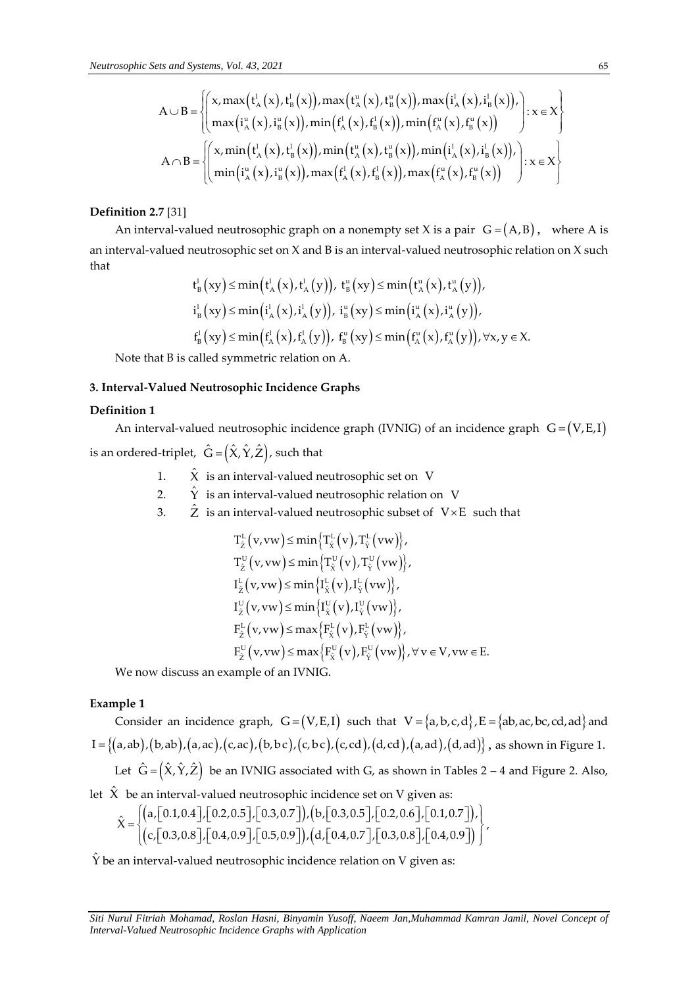$$
\begin{aligned}\n\text{At } \mathbf{z} & \text{at } \mathbf{z} & \text{at } \mathbf{z} & \text{at } \mathbf{z} & \text{at } \mathbf{z} & \text{at } \mathbf{z} & \text{at } \mathbf{z} & \text{at } \mathbf{z} & \text{at } \mathbf{z} & \text{at } \mathbf{z} & \text{at } \mathbf{z} & \text{at } \mathbf{z} & \text{at } \mathbf{z} & \text{at } \mathbf{z} & \text{at } \mathbf{z} & \text{at } \mathbf{z} & \text{at } \mathbf{z} & \text{at } \mathbf{z} & \text{at } \mathbf{z} & \text{at } \mathbf{z} & \text{at } \mathbf{z} & \text{at } \mathbf{z} & \text{at } \mathbf{z} & \text{at } \mathbf{z} & \text{at } \mathbf{z} & \text{at } \mathbf{z} & \text{at } \mathbf{z} & \text{at } \mathbf{z} & \text{at } \mathbf{z} & \text{at } \mathbf{z} & \text{at } \mathbf{z} & \text{at } \mathbf{z} & \text{at } \mathbf{z} & \text{at } \mathbf{z} & \text{at } \mathbf{z} & \text{at } \mathbf{z} & \text{at } \mathbf{z} & \text{at } \mathbf{z} & \text{at } \mathbf{z} & \text{at } \mathbf{z} & \text{at } \mathbf{z} & \text{at } \mathbf{z} & \text{at } \mathbf{z} & \text{at } \mathbf{z} & \text{at } \mathbf{z} & \text{at } \mathbf{z} & \text{at } \mathbf{z} & \text{at } \mathbf{z} & \text{at } \mathbf{z} & \text{at } \mathbf{z} & \text{at } \mathbf{z} & \text{at } \mathbf{z} & \text{at } \mathbf{z} & \text{at } \mathbf{z} &
$$

## **Definition 2.7** [31]

An interval-valued neutrosophic graph on a nonempty set X is a pair  $G = (A, B)$ , where A is an interval-valued neutrosophic set on X and B is an interval-valued neutrosophic relation on X such<br>that  $t^1_{\rm B}(xy) \le \min(t^1_{\rm A}(x), t^1_{\rm A}(y)), t^{\rm u}_{\rm B}(xy) \le \min(t^{\rm u}_{\rm A}(x), t^{\rm u}_{\rm A}(y)),$ that  $\left(1 \left(1 \right) \right)$   $\left(1 \left(1 \right) \right)$   $\left(1 \left(1 \right) \right)$   $\left(1 \left(1 \right) \right)$ 

$$
t_{B}^{1}(xy) \leq \min(t_{A}^{1}(x), t_{A}^{1}(y)), t_{B}^{u}(xy) \leq \min(t_{A}^{u}(x), t_{A}^{u}(y)),
$$
  
\n
$$
i_{B}^{1}(xy) \leq \min(i_{A}^{1}(x), i_{A}^{1}(y)), i_{B}^{u}(xy) \leq \min(i_{A}^{u}(x), i_{A}^{u}(y)),
$$
  
\n
$$
f_{B}^{1}(xy) \leq \min(f_{A}^{1}(x), f_{A}^{1}(y)), f_{B}^{u}(xy) \leq \min(f_{A}^{u}(x), f_{A}^{u}(y)), \forall x, y \in X.
$$

Note that B is called symmetric relation on A.

## **3. Interval-Valued Neutrosophic Incidence Graphs**

## **Definition 1**

An interval-valued neutrosophic incidence graph (IVNIG) of an incidence graph  $G = (V, E, I)$ 

is an ordered-triplet,  $\;\hat{\bm{\mathsf{G}}} \, {=} \big( \hat{\bm{\mathsf{X}}}, \hat{\bm{\mathsf{Y}}}, \hat{\bm{\mathsf{Z}}} \big)$ , such that

- 1.  $\hat{\chi}\;$  is an interval-valued neutrosophic set on  $\;$  V
- 2.  $\hat{\Upsilon}\;$  is an interval-valued neutrosophic relation on  $\;$  V
- 3.  $\hat{\mathrm{Z}}\;$  is an interval-valued neutrosophic subset of  $\;\mathrm{V}{\times}\mathrm{E}\;$  such that

A 
$$
\bigcup B = \begin{cases} x, max(t^k_x(x), t^k_y(x)) , max(t^k_x(x), t^k_y(x)) , max(t^k_x(x), t^k_y(x)) \\ max(t^k_x(x), t^k_y(x)) , min(t^k_x(x), t^k_y(x)) , min(t^k_x(x), t^k_y(x)) \\ A \cap B = \begin{cases} x, min(t^k_x(x), t^k_y(x)) , min(t^k_x(x), t^k_y(x)) , max(t^k_x(x), t^k_y(x)) , max(t^k_x(x), t^k_y(x)) \\ min(t^k_x(x), t^k_y(x)) , max(t^k_x(x), t^k_y(x)) , max(t^k_x(x), t^k_y(x)) \end{cases}
$$
  
\n**Definition 2.7 [31]  
\nAn interval-valued neutrosophic graph on a nonempty set X is a pair G = (A  
\nan interval-valued neutrosophic set on X and B is an interval-valued neutrosophic  
\nthat  
\n
$$
t^l_y(xy) \leq min(t^k_x(x), t^k_x(y)) , t^k_y(xy) \leq min(t^k_x(x), t^k_x(y)) ,
$$
\n
$$
t^l_y(xy) \leq min(t^k_x(x), t^k_x(y)) , t^k_y(xy) \leq min(t^k_x(x), t^k_x(y)) ,
$$
\n
$$
t^l_y(xy) \leq min(t^k_x(x), t^k_x(y)) , t^k_y(xy) \leq min(t^k_x(x), t^k_x(y)) ,
$$
\n
$$
t^l_y(xy) \leq min(t^k_x(x), t^k_x(y)) , t^k_y(xy) \leq min(t^k_x(x), t^k_x(y)) ,
$$
\n
$$
t^l_y(xy) \leq min(t^k_x(x), t^k_y(y)) , t^k_y(xy) \leq min(t^k_x(x), t^k_x(y)) ,
$$
\n
$$
t^l_y(xy) \leq min(t^l_x(x), t^k_y(y)) ,
$$
\n
$$
t^l_z(y, x, y) \leq min(t^l_x(y), T^k_y(w)) ,
$$
\n
$$
T^l_z(y, x, y) \leq min(t^l_x(y), T^l_y(w)) ,
$$
\n
$$
T^l_z(y, x, y) \leq min(t^l_x(y), T^l_y(w)) ,
$$
\n
$$
T^l_z(y, x, y) \leq min(t^l_x(y), T^l_y(w)) ,
$$
\n
$$
T^l_z(y, x, y) \leq
$$**

We now discuss an example of an IVNIG.

## **Example 1**

**1910 1**<br>Consider an incidence graph,  $G = (V, E, I)$  such that  $V = \{a, b, c, d\}$ ,  $E = \{ab, ac, bc, cd, ad\}$  and  $I = \{(a,ab), (b,ab), (a,ac), (c,ac), (b,bc), (c,bc), (c,cd), (d,cd), (a,ad), (d,ad)\},$  as shown in Figure 1. Let  $\hat G\!=\!\big(\hat X,\hat Y,\hat Z\big)$  be an IVNIG associated with G, as shown in Tables 2 – 4 and Figure 2. Also,

let  $\hat{\textbf{X}}$  be an interval-valued neutrosophic incidence set on V given as:

$$
\hat{X} = \begin{cases}\n(a,[0.1,0.4],[0.2,0.5],[0.3,0.7]), (b,[0.3,0.5],[0.2,0.6],[0.1,0.7]), \\
(c,[0.3,0.8],[0.4,0.9],[0.5,0.9]), (d,[0.4,0.7],[0.3,0.8],[0.4,0.9])\n\end{cases}
$$

 $\hat{\rm Y}$  be an interval-valued neutrosophic incidence relation on V given as: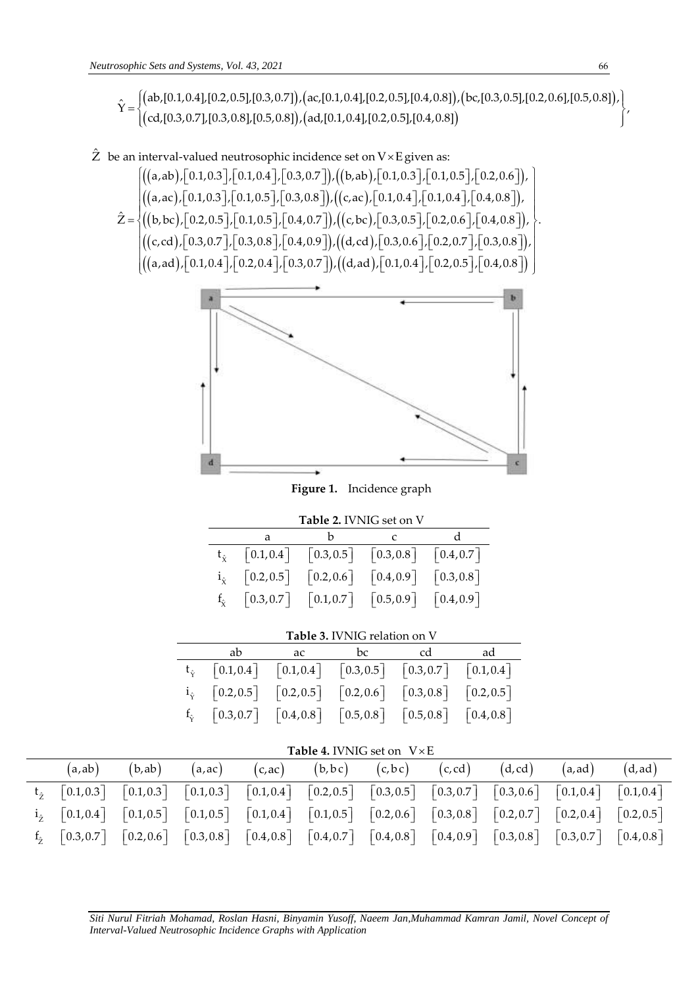c Sets and Systems, Vol. 43, 2021<br>(ab,[0.1,0.4],[0.2,0.5],[0.3,0.7]),(ac,[0.1,0.4],[0.2,0.5],[0.4,0.8]),(bc,[0.3,0.5],[0.2,0.6],[0.5,0.8]),<br>(cd,[0.3,0.7],[0.3,0.8],[0.5,0.8]),(ad,[0.1,0.4],[0.2,0.5],[0.4,0.8]) sophic Sets and Systems, Vol. 43, 2021<br>  $\hat{Y} = \begin{cases} (ab, [0.1, 0.4], [0.2, 0.5], [0.3, 0.7]), (ac, [0.1, 0.4], [0.2, 0.5], [0.4, 0.8]), (bc, [0.3, 0.5], [0.2, 0.6], [0.5, 0.8]), \\ (cd, [0.3, 0.7], [0.3, 0.8], [0.5, 0.8]), (ad, [0.1, 0.4], [0.2, 0.5], [0.4, 0.8]) \end{$ cd,[0.1,0.4],[0.2,0.5],[0.3,0.7]),(ac,[0.1,0.4],[0.2,0.5],[0.4,0.8]<br>ab,[0.1,0.4],[0.2,0.5],[0.3,0.7]),(ac,[0.1,0.4],[0.2,0.5],[0.4,0.8]<br>cd,[0.3,0.7],[0.3,0.8],[0.5,0.8]),(ad,[0.1,0.4],[0.2,0.5],[0.4,0.8] phic Sets and Systems, Vol. 43, 2021<br>  $=\begin{cases}\n(a\text{b}, [0.1, 0.4], [0.2, 0.5], [0.3, 0.7]), (ac, [0.1, 0.4], [0.2, 0.5], [0.4, 0.8]), (bc, [0.3, 0.5], [0.2, 0.6], [0.5, 0.8]), (cd, [0.3, 0.7], [0.3, 0.8], [0.5, 0.8]), (ad, [0.1, 0.4], [0.2, 0.5], [0.4, 0.8]\n\end{cases}$ lic Sets and Systems, Vol. 43, 2021<br>  $\left\{ \left( \text{ab}, [0.1, 0.4], [0.2, 0.5], [0.3, 0.7] \right), \left( \text{ac}, [0.1, 0.4], [0.2, 0.5], [0.4, 0.8] \right), \left( \text{bc}, [0.3, 0.5], [0.2, 0.6], [0.5, 0.8] \right), \left( \text{cd}, [0.3, 0.7], [0.3, 0.8], [0.5, 0.8] \right), \left( \text{ad}, [0.1, 0$ 

 $\hat{\mathrm{Z}}\;$  be an interval-valued neutrosophic incidence set on  $\mathrm{V}{\times}\mathrm{E}\,\text{given}$  as: ((a,ab),| 0.1,0.3 |,| 0.1,0.4 |,| 0.3,0.7 |),((b,ab),| 0.1,0.3 |,| 0.1,0.5 |,| 0.2,0.6 |). ((a,ac),| 0.1,0.3 |,| 0.1,0.5 |,| 0.3,0.8 |),((c,ac),| 0.1,0.4 |,| 0.1,0.4 |,| 0.4,0.8 |) (a, ab), [0.1,0.3], [0.1,0.4], [0.3,0.7]), ((b, ab), [0.1,0.3], [0.1,0.5], [0.2,0.6])<br>(a, ac), [0.1,0.3], [0.1,0.5], [0.3,0.8]), ((c, ac), [0.1,0.4], [0.1,0.4], [0.4,0.8]),<br>(b, bc), [0.2,0.5], [0.1,0.5], [0.4,0.7]), ((c, interval-valued neutrosophic incidence set on V×E given as:<br> $\left[\left((a,ab), [0.1,0.3], [0.1,0.4], [0.3,0.7]\right), \left((b,ab), [0.1,0.3], [0.1,0.5], [0.2,0.6]\right),\right]$ <br> $\left(\left((a, b), [0.1, 0.2], [0.1, 0.5], [0.2, 0.8], [0.1, 0.4], [0.1, 0.4], [0.4, 0.8],\right)\right)$  $\hat{Z} = \begin{cases} ((a, ac), [0.1, 0.3], [0.1, 0.5], [0.3, c)] \\ ((b, bc), [0.2, 0.5], [0.1, 0.5], [0.4, c)] \\ ((c, d), [0.2, 0.7], [0.2, 0.8], [0.4, c)] \end{cases}$ valued neutrosophic incidence set on  $V \times E$  given as:<br>  $[0.1, 0.3]$ ,  $[0.1, 0.4]$ ,  $[0.3, 0.7]$ ),  $((b, ab)$ ,  $[0.1, 0.3]$ ,  $[0.1, 0.5]$ ,  $[0.2, 0.6]$ ),<br>  $[0.1, 0.3]$ ,  $[0.1, 0.5]$ ,  $[0.3, 0.8]$ ),  $((c, ac)$ ,  $[0.1, 0.4]$ ,  $[0.$  $=\begin{cases} ((a,ab), [0.1,0.3], [0.1,0.4], [0.3,0.7]), ((b,ab), [0.1,0.3], [0.1,0.5], [0.2,0.6]) ,((a,ac), [0.1,0.3], [0.1,0.5], [0.3,0.8]), ((c,ac), [0.1,0.4], [0.1,0.4], [0.4,0.8]),((b,bc), [0.2,0.5], [0.1,0.5], [0.4,0.7]),((c,bc), [0.3,0.5], [0.2,0.6], [0.4,0.8]) ,((c,bc), [0.3,0.5], [0.2,0.$  $((a, ac), [0.1, 0.3], [0.1, 0.5], [0.3, 0.8]), ((c, ac), [0.1, 0.4], [0.1, 0.4], [0.4, 0.8]),$ <br>  $((b, bc), [0.2, 0.5], [0.1, 0.5], [0.4, 0.7]), ((c, bc), [0.3, 0.5], [0.2, 0.6], [0.4, 0.8]),$ <br>  $((c, cd), [0.3, 0.7], [0.3, 0.8], [0.4, 0.9]), ((d, cd), [0.3, 0.6], [0.2, 0.7], [0.3, 0.8]),$  $\Big| \big( (a, ad), [0.1, 0.4], [0.2, 0.4], [0.3, 0.7] \big), \big( (d, ad), [0.1, 0.4], [0.2, 0.5], [0.4, 0.8] \big) \Big|$ b,bc),  $[0.2, 0.5]$ ,  $[0.1, 0.5]$ ,  $[0.4, 0.7]$ ),  $((c, bc)$ ,  $[0.3, 0.5]$ ,  $[0.2, 0.6]$ ,  $[0.4, 0.8]$ ),<br>c,cd),  $[0.3, 0.7]$ ,  $[0.3, 0.8]$ ,  $[0.4, 0.9]$ ),  $((d, cd)$ ,  $[0.3, 0.6]$ ,  $[0.2, 0.7]$ ,  $[0.3, 0.8]$ ), c,cd),  $[0.3, 0.7]$ ,  $[0.3, 0.8]$ ,  $[0.4, 0.9]$ ),  $((d, cd), [0.3, 0.6]$ ,  $[0.2, 0.7]$ <br>a,ad),  $[0.1, 0.4]$ ,  $[0.2, 0.4]$ ,  $[0.3, 0.7]$ ),  $((d, ad), [0.1, 0.4]$ ,  $[0.2, 0.5]$ [0.3,0.7]),((b,ab),[0.1,0.3],[0.1,0.3],[0.2,0.6]),<br>[0.3,0.8]),((c,ac),[0.1,0.4],[0.1,0.4],[0.4,0.8]),<br>[0.4,0.7]),((c,bc),[0.3,0.5],[0.2,0.6],[0.4,0.8]), [0.1,0.3], [0.1,0.5], [0.3,0.8]), ((c,ac), [0.1,0.4], [0.1,0.4], [0.4,0.8]),<br>[0.2,0.5], [0.1,0.5], [0.4,0.7]), ((c,bc), [0.3,0.5], [0.2,0.6], [0.4,0.8]),<br>[0.3,0.7], [0.3,0.8], [0.4,0.9]), ((d,cd), [0.3,0.6], [0.2,0.7], [0  $\begin{split} &\left[0.2, 0.5\right], \left[0.1, 0.5\right], \left[0.4, 0.7\right]\right), \left((\text{c}, \text{bc}), \left[0.3, 0.5\right], \left[0.2, 0.6\right], \left[0.4, 0.8\right]\right), \ &\left[0.3, 0.7\right], \left[0.3, 0.8\right], \left[0.4, 0.9\right]\right), \left((\text{d}, \text{cd}), \left[0.3, 0.6\right], \left[0.2, 0.7\right], \left[0.3, 0.8\right]\right), \ &\left[0.1,$  $\begin{bmatrix} 0.3, 0.8 \\ 0.4, 0.8 \end{bmatrix}$ interval-valued neutrosophic incidence set on V×E given as:<br>  $\left[ ((a,ab), [0.1, 0.3], [0.1, 0.4], [0.3, 0.7]), ((b,ab), [0.1, 0.3], [0.1, 0.5], [0.2, 0.6]), (\text{a.s.}) [0.1, 0.3], [0.1, 0.3], [0.1, 0.4], [0.4, 0.8] \right]$   $\begin{bmatrix} ((a, ac), [0.1, 0.3], [0.1, 0.5], [0.3, 0.8]), ((c, ac), [0.1, 0.4], [0.1, 0.4], [0.4, 0.8]), ((b, bc), [0.2, 0.5], [0.1, 0.5], [0.4, 0.7]), ((c, bc), [0.3, 0.5], [0.2, 0.6], [0.4, 0.8]), ((c, cd), [0.3, 0.7], [0.3, 0.8], [0.4, 0.9]), ((d, cd), [0.3, 0.6], [0.2, 0.7], [0.3, 0.8]), \end{b$  $\left\{\begin{array}{l} (0.5,0.2), (0.2,0.5), (0.1,0.5), (0.4,0.7), (0.5,0.5), (0.5,0.5), (0.2,0.6), (0.4,0.8), (0.3,0.7), (0.3,0.8), (0.3,0.8), (0.4,0.9), (0.3,0.6), (0.3,0.6), (0.3,0.8), (0.3,0.8), (0.4,0.8), (0.4,0.8), (0.4,0.8), (0.4,0.8), (0.4,0.8), (0.4,0.8), (0.4,0.8), (0.$ 



**Figure 1.** Incidence graph

| <b>Table 2. IVNIG set on V</b> |   |                                                                                                                                                                     |  |  |  |
|--------------------------------|---|---------------------------------------------------------------------------------------------------------------------------------------------------------------------|--|--|--|
|                                | a |                                                                                                                                                                     |  |  |  |
|                                |   | $t_{\hat{y}}$ [0.1,0.4] [0.3,0.5] [0.3,0.8] [0.4,0.7]                                                                                                               |  |  |  |
|                                |   | $i_{\hat{x}}$ [0.2,0.5] [0.2,0.6] [0.4,0.9] [0.3,0.8]                                                                                                               |  |  |  |
| $f_{\hat{\mathbf{v}}}$         |   | $\begin{bmatrix} 0.3, 0.7 \end{bmatrix}$ $\begin{bmatrix} 0.1, 0.7 \end{bmatrix}$ $\begin{bmatrix} 0.5, 0.9 \end{bmatrix}$ $\begin{bmatrix} 0.4, 0.9 \end{bmatrix}$ |  |  |  |

# **Table 3.** IVNIG relation on V

|                                                                      | ab ac bc cd ad |  |
|----------------------------------------------------------------------|----------------|--|
| $t_{\hat{y}}$ [0.1, 0.4] [0.1, 0.4] [0.3, 0.5] [0.3, 0.7] [0.1, 0.4] |                |  |
| $i_{\hat{Y}}$ [0.2,0.5] [0.2,0.5] [0.2,0.6] [0.3,0.8] [0.2,0.5]      |                |  |
| $f_{\gamma}$ [0.3,0.7] [0.4,0.8] [0.5,0.8] [0.5,0.8] [0.4,0.8]       |                |  |

# Table 4. IVNIG set on  $V \times E$

|  |  |  | $(a,ab)$ $(b,ab)$ $(a,ac)$ $(c,ac)$ $(b,bc)$ $(c,bc)$ $(c,cd)$ $(d,cd)$ $(a,ad)$ $(d,ad)$                                                                                                                                                                                                                                                                                              |  |  |
|--|--|--|----------------------------------------------------------------------------------------------------------------------------------------------------------------------------------------------------------------------------------------------------------------------------------------------------------------------------------------------------------------------------------------|--|--|
|  |  |  | $t_{\hat{z}}$ [0.1,0.3] [0.1,0.3] [0.1,0.3] [0.1,0.4] [0.2,0.5] [0.3,0.5] [0.3,0.7] [0.3,0.6] [0.1,0.4] [0.1,0.4]                                                                                                                                                                                                                                                                      |  |  |
|  |  |  | $i_2$ $[0.1, 0.4]$ $[0.1, 0.5]$ $[0.1, 0.5]$ $[0.1, 0.4]$ $[0.1, 0.5]$ $[0.2, 0.6]$ $[0.3, 0.8]$ $[0.2, 0.7]$ $[0.2, 0.4]$ $[0.2, 0.5]$                                                                                                                                                                                                                                                |  |  |
|  |  |  | $f_2$ $\begin{bmatrix} 0.3, 0.7 \end{bmatrix}$ $\begin{bmatrix} 0.2, 0.6 \end{bmatrix}$ $\begin{bmatrix} 0.3, 0.8 \end{bmatrix}$ $\begin{bmatrix} 0.4, 0.8 \end{bmatrix}$ $\begin{bmatrix} 0.4, 0.8 \end{bmatrix}$ $\begin{bmatrix} 0.4, 0.9 \end{bmatrix}$ $\begin{bmatrix} 0.3, 0.8 \end{bmatrix}$ $\begin{bmatrix} 0.3, 0.7 \end{bmatrix}$ $\begin{bmatrix} 0.4, 0.8 \end{bmatrix}$ |  |  |

*Siti Nurul Fitriah Mohamad, Roslan Hasni, Binyamin Yusoff, Naeem Jan,Muhammad Kamran Jamil, Novel Concept of*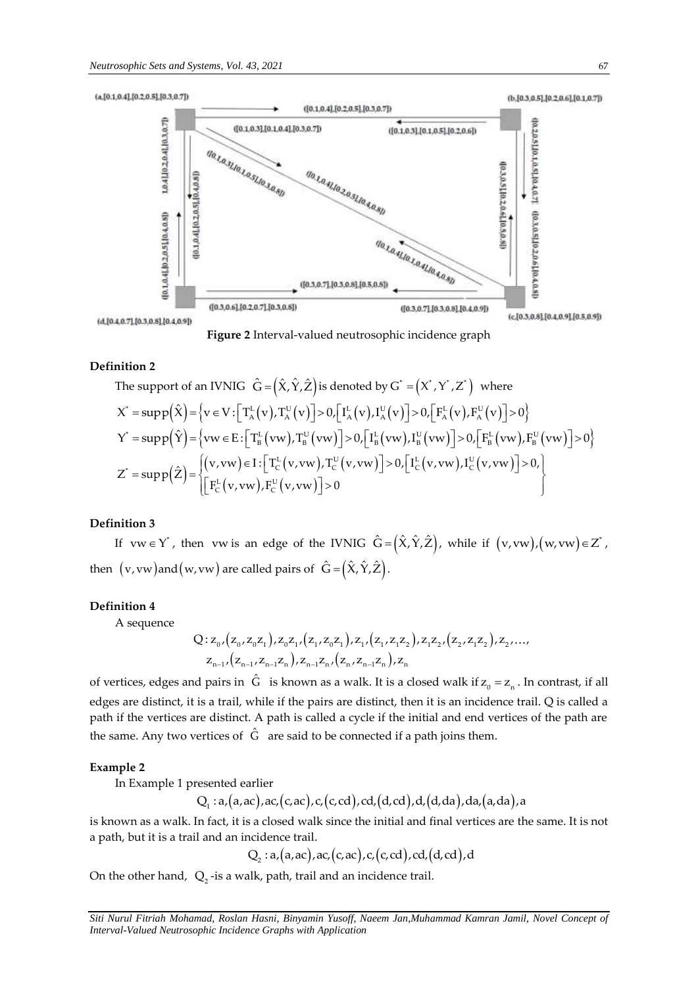

**Figure 2** Interval-valued neutrosophic incidence graph

## **Definition 2**

**intion 2**  
\nThe support of an IVNIG 
$$
\hat{G} = (\hat{X}, \hat{Y}, \hat{Z})
$$
 is denoted by  $G^* = (X^*, Y^*, Z^*)$  where  
\n
$$
X^* = \sup p(\hat{X}) = \{v \in V : [T_A^L(v), T_A^U(v)] > 0, [I_A^L(v), I_A^U(v)] > 0, [F_A^L(v), F_A^U(v)] > 0\}
$$
\n
$$
Y^* = \sup p(\hat{Y}) = \{vw \in E : [T_B^L(vw), T_B^U(vw)] > 0, [I_B^L(vw), I_B^U(vw)] > 0, [F_B^L(vw), F_B^U(vw)] > 0\}
$$
\n
$$
Z^* = \sup p(\hat{Z}) = \begin{cases} (v, vw) \in I : [T_C^L(v, vw), T_C^U(v, vw)] > 0, [I_C^L(v, vw), I_C^U(v, vw)] > 0, \\ [F_C^L(v, vw), F_C^U(v, vw)] > 0 \end{cases}
$$

#### **Definition 3**

If  $vw \in Y$ , then  $vw$  is an edge of the IVNIG  $\hat{G} = (\hat{X}, \hat{Y}, \hat{Z})$ , while if  $(v, vw), (w, vw) \in Z^*$ , then  $(v,vw)$ and $(w,vw)$  are called pairs of  $\hat G$  =  $\big(\hat X,\hat Y,\hat Z\big)$ .

## **Definition 4**

A sequence

Q: 
$$
z_0
$$
,  $(z_0, z_0 z_1)$ ,  $z_0 z_1$ ,  $(z_1, z_0 z_1)$ ,  $z_1$ ,  $(z_1, z_1 z_2)$ ,  $z_1 z_2$ ,  $(z_2, z_1 z_2)$ ,  $z_2$ , ...,  $z_{n-1}$ ,  $(z_{n-1}, z_{n-1} z_n)$ ,  $z_{n-1} z_n$ ,  $(z_n, z_{n-1} z_n)$ ,  $z_n$ 

of vertices, edges and pairs in  $\hat{G}$  is known as a walk. It is a closed walk if  $z_0 = z_n$ . In contrast, if all edges are distinct, it is a trail, while if the pairs are distinct, then it is an incidence trail. Q is called a path if the vertices are distinct. A path is called a cycle if the initial and end vertices of the path are the same. Any two vertices of  $\ \hat G\ \$ are said to be connected if a path joins them.

## **Example 2**

In Example 1 presented earlier

 $Q_i$ :  $a_i(a,ac)$ ,  $ac_i(c,ac)$ ,  $c_i(c,cd)$ ,  $cd_i(d,cd)$ ,  $d_i(d,da)$ ,  $da_i(a,da)$ , a

is known as a walk. In fact, it is a closed walk since the initial and final vertices are the same. It is not a path, but it is a trail and an incidence trail.

 $Q_2$ : a, (a, ac), ac, (c, ac), c, (c, cd), cd, (d, cd), d

On the other hand,  $\, {\rm Q}_{{\scriptscriptstyle 2}}$ -is a walk, path, trail and an incidence trail.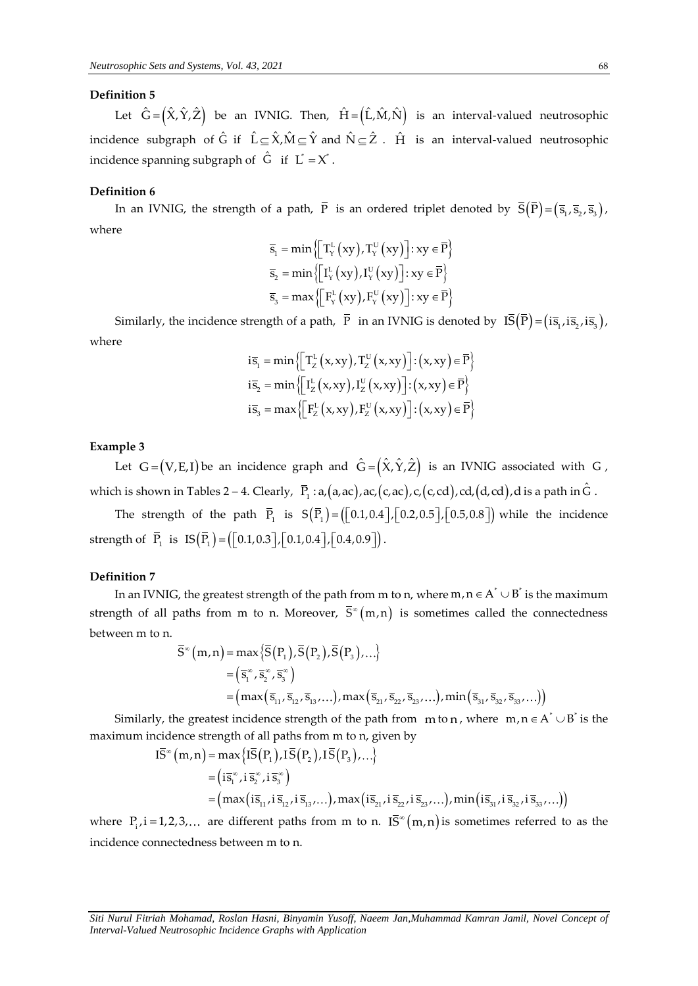## **Definition 5**

Let  $\hat{G} = (\hat{X}, \hat{Y}, \hat{Z})$  be an IVNIG. Then,  $\hat{H} = (\hat{L}, \hat{M}, \hat{N})$  is an interval-valued neutrosophic incidence subgraph of  $\hat G$  if  $\hat L \subseteq \hat X$ , $\hat M \subseteq \hat Y$  and  $\hat N \subseteq \hat Z$  .  $\hat H$  is an interval-valued neutrosophic incidence spanning subgraph of  $\hat{G}$  if  $\hat{L}^* = X^*$ .

### **Definition 6**

In an IVNIG, the strength of a path,  $\overline{P}$  is an ordered triplet denoted by  $\overline{S}(\overline{P}) = (\overline{s}_1, \overline{s}_2, \overline{s}_3)$ , where

$$
\begin{aligned} &\overline{s}_1 = \min \left\{ \left[ T_Y^L \left( xy \right) , T_Y^U \left( xy \right) \right] : xy \in \overline{P} \right\} \\ &\overline{s}_2 = \min \left\{ \left[ I_Y^L \left( xy \right) , I_Y^U \left( xy \right) \right] : xy \in \overline{P} \right\} \\ &\overline{s}_3 = \max \left\{ \left[ F_Y^L \left( xy \right) , F_Y^U \left( xy \right) \right] : xy \in \overline{P} \right\} \end{aligned}
$$

Similarly, the incidence strength of a path,  $\bar{P}$  in an IVNIG is denoted by  $\overline{IS}(\bar{P}) = (i\bar{s}_1, i\bar{s}_2, i\bar{s}_3)$ , where

$$
i\overline{s}_{1} = \min \left\{ \left[ T_{Z}^{L} (x, xy), T_{Z}^{U} (x, xy) \right] : (x, xy) \in \overline{P} \right\}
$$
  
\n
$$
i\overline{s}_{2} = \min \left\{ \left[ I_{Z}^{L} (x, xy), I_{Z}^{U} (x, xy) \right] : (x, xy) \in \overline{P} \right\}
$$
  
\n
$$
i\overline{s}_{3} = \max \left\{ \left[ F_{Z}^{L} (x, xy), F_{Z}^{U} (x, xy) \right] : (x, xy) \in \overline{P} \right\}
$$

#### **Example 3**

Let  $G = (V, E, I)$  be an incidence graph and  $\hat{G} = (\hat{X}, \hat{Y}, \hat{Z})$  is an IVNIG associated with G, which is shown in Tables 2 – 4. Clearly,  $\overline{P}_1$ :  $a,(a,ac),ac,(c,ac),c,(c,cd),cd,(d,cd),d$  is a path in  $\hat{G}$ .

The strength of the path  $\bar{P}_1$  is  $S(\bar{P}_1) = ([0.1, 0.4], [0.2, 0.5], [0.5, 0.8])$  while the incidence strength of  $\overline{P}_1$  is  $IS(\overline{P}_1) = ([0.1, 0.3], [0.1, 0.4], [0.4, 0.9]).$ 

## **Definition 7**

In an IVNIG, the greatest strength of the path from m to n, where m,  $n \in A^* \cup B^*$  is the maximum strength of all paths from m to n. Moreover,  $\bar{S}^{\infty}(m,n)$  is sometimes called the connectedness between m to n.

$$
\overline{S}^{\infty}(m,n) = \max \{ \overline{S}(P_1), \overline{S}(P_2), \overline{S}(P_3), \ldots \}
$$
  
=  $(\overline{s}_1^{\infty}, \overline{s}_2^{\infty}, \overline{s}_3^{\infty})$   
=  $(\max (\overline{s}_{11}, \overline{s}_{12}, \overline{s}_{13}, \ldots), \max (\overline{s}_{21}, \overline{s}_{22}, \overline{s}_{23}, \ldots), \min (\overline{s}_{31}, \overline{s}_{32}, \overline{s}_{33}, \ldots))$ 

Similarly, the greatest incidence strength of the path from  $m$  to n, where  $m, n \in A^* \cup B^*$  is the maximum incidence strength of all paths from m to n, given by y, the greatest incidence strength of the<br>cidence strength of all paths from m to i<br> $I\overline{S}^*(m,n) = max\{I\overline{S}(P_1), I\overline{S}(P_2), I\overline{S}(P_3),$ <br> $(i=n:i=n)$ 

$$
\begin{aligned}\n\overline{IS}^{\infty}(m,n) &= \max\{I\overline{S}(P_1), I\overline{S}(P_2), I\overline{S}(P_3),...\} \\
&= \left(i\overline{s}_1^{\infty}, i\,\overline{s}_2^{\infty}, i\,\overline{s}_3^{\infty}\right) \\
&= \left(\max\{i\overline{s}_{11}, i\,\overline{s}_{12}, i\,\overline{s}_{13},...\}, \max\{i\overline{s}_{21}, i\,\overline{s}_{22}, i\,\overline{s}_{23},...\}\right),\n\end{aligned}
$$

where  $P_i$ ,  $i = 1,2,3,...$  are different paths from m to n.  $I\overline{S}^{\infty}(m,n)$  is sometimes referred to as the incidence connectedness between m to n.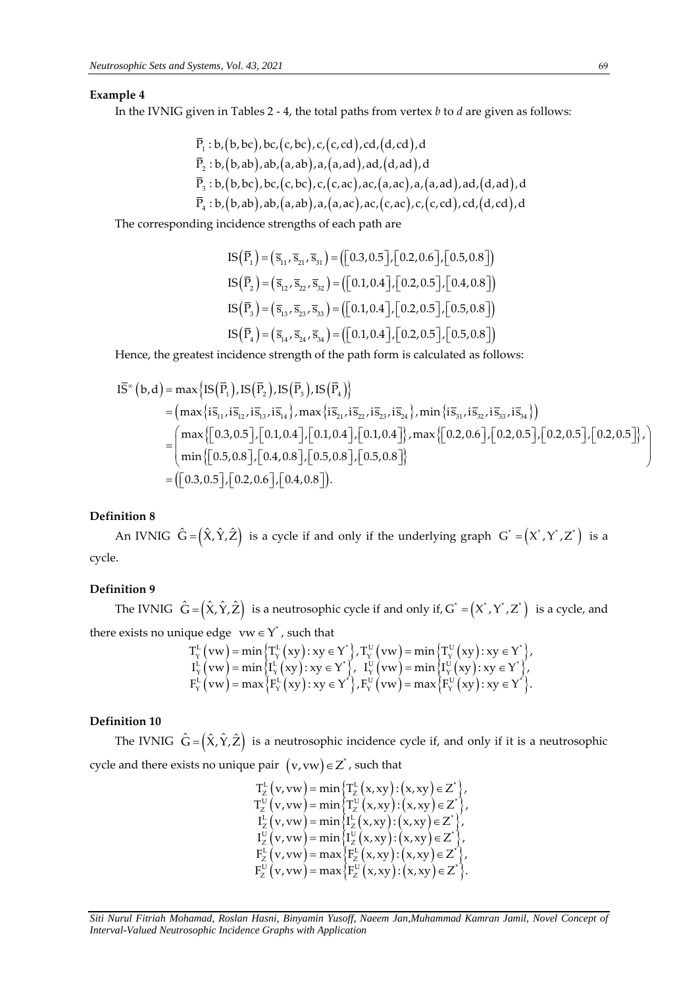## **Example 4**

In the IVNIG given in Tables 2 - 4, the total paths from vertex *b* to *d* are given as follows:

Then takes 2, the total paths from (circle to the graph),

\n
$$
\overline{P}_1: b, (b, bc), bc, (c, bc), c, (c, cd), cd, (d, cd), d
$$

\n
$$
\overline{P}_2: b, (b, ab), ab, (a, ab), a, (a, ad), ad, (d, ad), d
$$

\n
$$
\overline{P}_3: b, (b, bc), bc, (c, bc), c, (c, ac), ac, (a, ac), a, (a, ad), ad, (d, ad), d
$$

\n
$$
\overline{P}_4: b, (b, ab), ab, (a, ab), a, (a, ac), ac, (c, ac), c, (c, cd), cd, (d, cd), d
$$

The corresponding incidence strengths of each path are

$$
IS(\bar{P}_1) = (\bar{s}_{11}, \bar{s}_{21}, \bar{s}_{31}) = ([0.3, 0.5], [0.2, 0.6], [0.5, 0.8])
$$
  
\n
$$
IS(\bar{P}_2) = (\bar{s}_{12}, \bar{s}_{22}, \bar{s}_{32}) = ([0.1, 0.4], [0.2, 0.5], [0.4, 0.8])
$$
  
\n
$$
IS(\bar{P}_3) = (\bar{s}_{13}, \bar{s}_{23}, \bar{s}_{33}) = ([0.1, 0.4], [0.2, 0.5], [0.5, 0.8])
$$
  
\n
$$
IS(\bar{P}_4) = (\bar{s}_{14}, \bar{s}_{24}, \bar{s}_{34}) = ([0.1, 0.4], [0.2, 0.5], [0.5, 0.8])
$$

Hence, the greatest incidence strength of the path form is calculated as follows:

Hence, the greatest incidence strength of the path form is calculated as follows:  
\n
$$
\overline{IS}^{\infty}(b,d) = \max\{IS(\overline{P}_1),IS(\overline{P}_2),IS(\overline{P}_3),IS(\overline{P}_4)\}
$$
\n
$$
= (\max\{is_{11}, is_{12}, is_{13}, is_{14}\}, \max\{is_{21}, is_{22}, is_{23}, is_{24}\}, \min\{is_{31}, is_{32}, is_{33}, is_{34}\})
$$
\n
$$
= (\max\{[0.3, 0.5], [0.1, 0.4], [0.1, 0.4], [0.1, 0.4]\}, \max\{[0.2, 0.6], [0.2, 0.5], [0.2, 0.5], [0.2, 0.5]\}, \min\{[0.5, 0.8], [0.5, 0.8]\} = ([0.3, 0.5], [0.2, 0.6], [0.4, 0.8]).
$$

## **Definition 8**

An IVNIG  $\hat{G} = (\hat{X}, \hat{Y}, \hat{Z})$  is a cycle if and only if the underlying graph  $G^* = (X^*, Y^*, Z^*)$  is a cycle.

# **Definition 9**

The IVNIG  $\hat{G} = (\hat{X}, \hat{Y}, \hat{Z})$  is a neutrosophic cycle if and only if,  $G^* = (X^*, Y^*, Z^*)$  is a cycle, and there exists no unique edge  $vw \in Y^*$ , such that<br>  $T_v^L(vw) = \min \{ T_v^L(xy) : xy \in Y^* \}, T_v^U(vw) = \min \{ T_v^U(xy) : xy \in Y^* \}$  $vw \in Y^*$ , such that<br>= min  $\left\{T^L_Y(xy): xy \in Y^*\right\}$ ,  $T^U_Y(vw) = min\left\{T^U_Y(xy): xy \in Y^*\right\}$ ,

$$
\begin{array}{l} \text{que edge } \text{vw} \in Y^*, \text{ such that} \\ T^L_Y\left(\text{vw}\right) = \min\left\{T^L_Y\left(xy\right): xy \in Y^*\right\}, T^U_Y\left(\text{vw}\right) = \min\left\{T^U_Y\left(xy\right): xy \in Y^*\right\}, \\ I^L_Y\left(\text{vw}\right) = \min\left\{I^L_Y\left(xy\right): xy \in Y^*\right\}, \ I^U_Y\left(\text{vw}\right) = \min\left\{I^U_Y\left(xy\right): xy \in Y^*\right\}, \\ F^L_Y\left(\text{vw}\right) = \max\left\{F^L_Y\left(xy\right): xy \in Y^*\right\}, F^U_Y\left(\text{vw}\right) = \max\left\{F^U_Y\left(xy\right): xy \in Y^*\right\}. \end{array}
$$

# **Definition 10**

The IVNIG  $\hat{G} = (\hat{X}, \hat{Y}, \hat{Z})$  is a neutrosophic incidence cycle if, and only if it is a neutrosophic cycle and there exists no unique pair  $(v, vw) \in Z^*$ , such that<br>  $T_Z^L(v, vw) = \min \{ T_Z^L(x, xy) : (x, xy) \in Z^* \}$ 

$$
T_{z}^{L}(v,vw) = \min\left\{T_{z}^{L}(x,xy): (x,xy) \in Z^{*}\right\}, T_{z}^{U}(v,vw) = \min\left\{T_{z}^{U}(x,xy): (x,xy) \in Z^{*}\right\}, T_{z}^{L}(v,vw) = \min\left\{T_{z}^{L}(x,xy): (x,xy) \in Z^{*}\right\}, T_{z}^{U}(v,vw) = \min\left\{T_{z}^{U}(x,xy): (x,xy) \in Z^{*}\right\}, F_{z}^{L}(v,vw) = \max\left\{F_{z}^{L}(x,xy): (x,xy) \in Z^{*}\right\}, F_{z}^{U}(v,vw) = \max\left\{F_{z}^{U}(x,xy): (x,xy) \in Z^{*}\right\}.
$$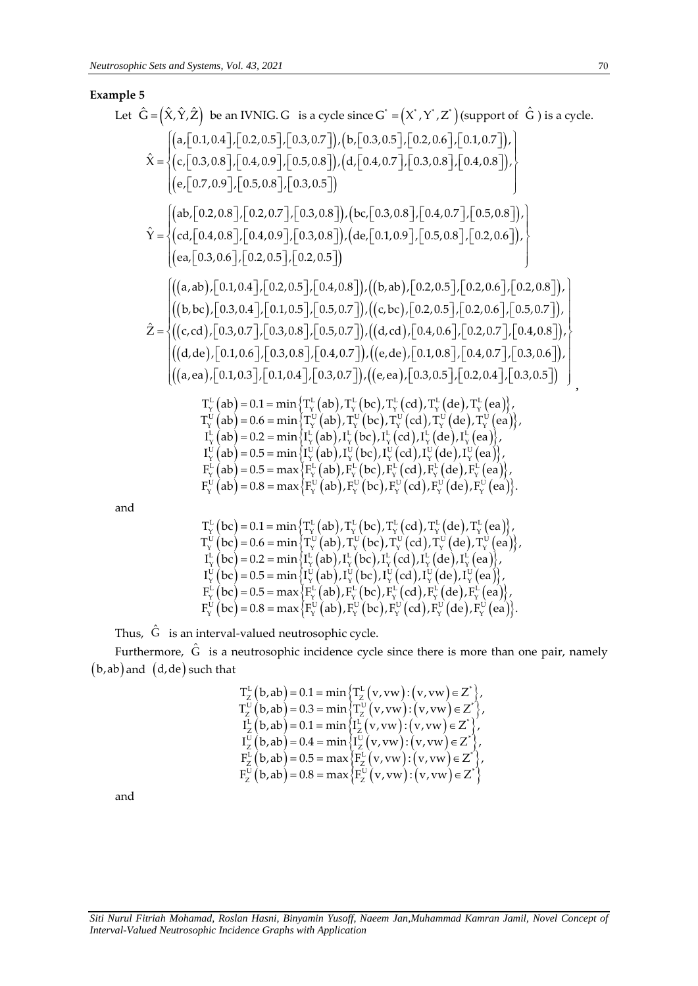# **Example 5**

| Left $\hat{G} = (\hat{X}, \hat{Y}, \hat{Z})$ be an IVNIG. G is a cycle since G' = (X', Y', Z') (support of $\hat{G}$ ) is a cycle.\n                                                                                                                                                                                                                                                                                                                          |
|---------------------------------------------------------------------------------------------------------------------------------------------------------------------------------------------------------------------------------------------------------------------------------------------------------------------------------------------------------------------------------------------------------------------------------------------------------------|
| \n $\begin{aligned}\n & [\mathbf{a}, [0.1, 0.4], [0.2, 0.5], [0.3, 0.7]), (\mathbf{b}, [0.3, 0.5], [0.2, 0.6], [0.1, 0.7]), \\  & (\mathbf{c}, [0.3, 0.8], [0.4, 0.9], [0.5, 0.8]), (\mathbf{d}, [0.4, 0.7], [0.3, 0.8], [0.4, 0.8]), \\  & (\mathbf{e}, [0.7, 0.9], [0.5, 0.8], [0.2, 0.5])\n \end{aligned}$ \n                                                                                                                                              |
| \n $\hat{Y} = \n \begin{cases}\n & [\mathbf{a}, [0.2, 0.8], [0.2, 0.7], [0.3, 0.8]), (\mathbf{b}, [0.3, 0.8], [0.4, 0.7], [0.5, 0.8]), \\  & (\mathbf{c}, [0.3, 0.6], [0.2, 0.5], [0.2, 0.5])\n \end{cases}$ \n                                                                                                                                                                                                                                               |
| \n $\hat{Y} = \n \begin{cases}\n & (\mathbf{a}, \mathbf{a}, \mathbf{b}, [0.1, 0.4], [0.2, 0.5], [0.4, 0.8]), (\mathbf{b}, \mathbf{a}, [0.2, 0.5], [0.2, 0.6], [0.2, 0.6], [0.2, 0.8]), \\  & (\mathbf{b}, \mathbf{b}, [0.1, 0.4], [0.2, 0.5], [0.4, 0.8]), ((\mathbf{c}, \mathbf{b}, [0.2, 0.5], [0.2, 0.6], [0.2, 0.8]), \\  & (\mathbf{b}, \mathbf{b}, [0.1, 0.4], [0.3, 0.8], [0.5, 0.7]), ((\mathbf{c}, \mathbf{b}, [0.4, 0.6], [0.2, 0.7], [0.3, 0.6]),$ |

$$
\begin{array}{l} T_{Y}^{L}\left( bc\right)=0.1=\min\left\{ T_{Y}^{L}\left( ab\right),T_{Y}^{L}\left( bc\right),T_{Y}^{L}\left( cd\right),T_{Y}^{L}\left( de\right),T_{Y}^{L}\left( ea\right) \right\} , \\ T_{Y}^{U}\left( bc\right)=0.6=\min\left\{ T_{Y}^{U}\left( ab\right),T_{Y}^{U}\left( bc\right),T_{Y}^{U}\left( cd\right),T_{Y}^{U}\left( de\right),T_{Y}^{U}\left( ea\right) \right\} , \\ I_{Y}^{L}\left( bc\right)=0.2=\min\left\{ I_{Y}^{L}\left( ab\right),I_{Y}^{L}\left( bc\right),I_{Y}^{L}\left( cd\right),I_{Y}^{L}\left( de\right),I_{Y}^{L}\left( ea\right) \right\} , \\ I_{Y}^{U}\left( bc\right)=0.5=\min\left\{ I_{Y}^{U}\left( ab\right),I_{Y}^{U}\left( bc\right),I_{Y}^{U}\left( cd\right),I_{Y}^{U}\left( de\right),I_{Y}^{U}\left( ea\right) \right\} , \\ F_{Y}^{L}\left( bc\right)=0.5=\max\left\{ F_{Y}^{L}\left( ab\right),F_{Y}^{L}\left( bc\right),F_{Y}^{L}\left( cd\right),F_{Y}^{U}\left( de\right),F_{Y}^{L}\left( ea\right) \right\} , \\ F_{Y}^{U}\left( bc\right)=0.8=\max\left\{ F_{Y}^{U}\left( ab\right),F_{Y}^{U}\left( bc\right),F_{Y}^{U}\left( cd\right),F_{Y}^{U}\left( de\right),F_{Y}^{U}\left( ea\right) \right\} .\end{array}
$$

Thus,  $\hat{G}$  is an interval-valued neutrosophic cycle.

Furthermore,  $\hat{G}$  is a neutrosophic incidence cycle since there is more than one pair, namely b,ab and d,de such that

$$
\begin{array}{l} T_{Z}^{L}\left(b,ab\right)=0.1=\min\left\{ T_{Z}^{L}\left(v,vw\right):\left(v,vw\right)\in Z^{*}\right\} ,\\ T_{Z}^{U}\left(b,ab\right)=0.3=\min\left\{ T_{Z}^{U}\left(v,vw\right):\left(v,vw\right)\in Z^{*}\right\} ,\\ I_{Z}^{L}\left(b,ab\right)=0.1=\min\left\{ I_{Z}^{L}\left(v,vw\right):\left(v,vw\right)\in Z^{*}\right\} ,\\ I_{Z}^{U}\left(b,ab\right)=0.4=\min\left\{ I_{Z}^{U}\left(v,vw\right):\left(v,vw\right)\in Z^{*}\right\} ,\\ F_{Z}^{L}\left(b,ab\right)=0.5=\max\left\{ F_{Z}^{L}\left(v,vw\right):\left(v,vw\right)\in Z^{*}\right\} ,\\ F_{Z}^{U}\left(b,ab\right)=0.8=\max\left\{ F_{Z}^{U}\left(v,vw\right):\left(v,vw\right)\in Z^{*}\right\} \end{array}
$$

and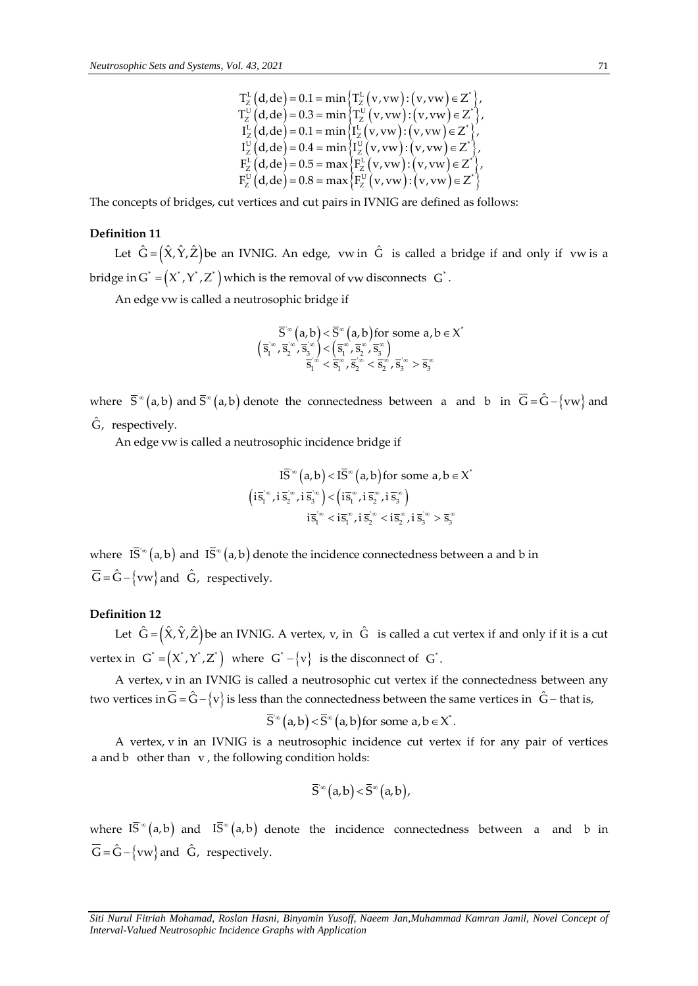$$
\begin{array}{l} T_{Z}^{L}\left(d, de\right)=0.1= \min \left\{ T_{Z}^{L}\left(v,vw\right): \left(v,vw\right) \in Z^{*} \right\}, \\ T_{Z}^{U}\left(d, de\right)=0.3= \min \left\{ T_{Z}^{U}\left(v,vw\right): \left(v,vw\right) \in Z^{*} \right\}, \\ I_{Z}^{L}\left(d, de\right)=0.1= \min \left\{ I_{Z}^{L}\left(v,vw\right): \left(v,vw\right) \in Z^{*} \right\}, \\ I_{Z}^{U}\left(d, de\right)=0.4= \min \left\{ I_{Z}^{U}\left(v,vw\right): \left(v,vw\right) \in Z^{*} \right\}, \\ F_{Z}^{L}\left(d, de\right)=0.5= \max \left\{ F_{Z}^{L}\left(v,vw\right): \left(v,vw\right) \in Z^{*} \right\}, \\ F_{Z}^{U}\left(d, de\right)=0.8= \max \left\{ F_{Z}^{U}\left(v,vw\right): \left(v,vw\right) \in Z^{*} \right\} \end{array}
$$

The concepts of bridges, cut vertices and cut pairs in IVNIG are defined as follows:

## **Definition 11**

Let  $\hat{G} = (\hat{X}, \hat{Y}, \hat{Z})$ be an IVNIG. An edge, vw $\, \hat{G} \,$  is called a bridge if and only if  $\,$  vw $\,$ is a bridge in G $^*$  =  $\left($  X $^*$  ,  $\rm{Z}^*$   $\right)$  which is the removal of vw disconnects  $\,$  G $^*$  .

An edge vw is called a neutrosophic bridge if

$$
\bar{S}^\infty\big(a,b\big)<\bar{S}^\infty\big(a,b\big)\text{for some }a,b\in X^*\\\left(\bar{s}_1^\infty,\bar{s}_2^\infty,\bar{s}_3^\infty\right)<\left(\bar{s}_1^\infty,\bar{s}_3^\infty,\bar{s}_3^\infty\right)\\\bar{s}_1^\infty<\bar{s}_1^\infty,\bar{s}_2^\infty<\bar{s}_2^\infty,\bar{s}_3^\infty>\bar{s}_3^\infty
$$

where  $\bar{S}^{\infty}(a,b)$  and  $\bar{S}^{\infty}(a,b)$  denote the connectedness between a and b in  $\bar{G} = \hat{G} - \{vw\}$  and  $\hat{\mathsf{G}}$ , respectively.

An edge vw is called a neutrosophic incidence bridge if

$$
\begin{aligned} I\overline{S}^{\infty}\left(a,b\right)<\overline{IS}^{\infty}\left(a,b\right)\text{for some }a,b\in X\\ \left(i\overline{s}_{1}^{\infty},i\,\overline{s}_{2}^{\infty},i\,\overline{s}_{3}^{\infty}\right)<\left(i\overline{s}_{1}^{\infty},i\,\overline{s}_{2}^{\infty},i\,\overline{s}_{3}^{\infty}\right)\\ \hspace{2.5cm} i\overline{s}_{1}^{\infty}<\overline{is}_{1}^{\infty},i\,\overline{s}_{2}^{\infty}<\overline{is}_{2}^{\infty},i\,\overline{s}_{3}^{\infty}>\overline{s}_{3}^{\infty} \end{aligned}
$$

\*

where  $\bar{IS}^{\infty}(a,b)$  and  $\bar{IS}^{\infty}(a,b)$  denote the incidence connectedness between a and b in  $\overline{G} = \hat{G} - \{vw\}$  and  $\hat{G}$ , respectively.

## **Definition 12**

Let  $\hat G\!=\!\big(\hat X,\hat Y,\hat Z\big)$ be an IVNIG. A vertex, v, in  $\;\hat G\;$  is called a cut vertex if and only if it is a cut vertex in  $G^* = (X^*, Y^*, Z^*)$  where  $|G^* - \{v\}|$  is the disconnect of  $|G^* - \{v\}|$ 

A vertex, v in an IVNIG is called a neutrosophic cut vertex if the connectedness between any two vertices in  $\overline{G}$  =  $\hat{G}$  –  $\{v\}$  is less than the connectedness between the same vertices in  $\hat{G}$  – that is,

$$
\overline{S}^{\infty}(a,b) < \overline{S}^{\infty}(a,b)
$$
 for some  $a,b \in X^*$ .

A vertex, v in an IVNIG is a neutrosophic incidence cut vertex if for any pair of vertices a and b other than v , the following condition holds:

$$
\overline{S}^{\infty}\big(a,b\big) < \overline{S}^{\infty}\big(a,b\big),
$$

where  $\overline{IS}^{\infty}(a,b)$  and  $\overline{IS}^{\infty}(a,b)$  denote the incidence connectedness between a and b in  $\overline{G} = \hat{G} - \{vw\}$  and  $\hat{G}$ , respectively.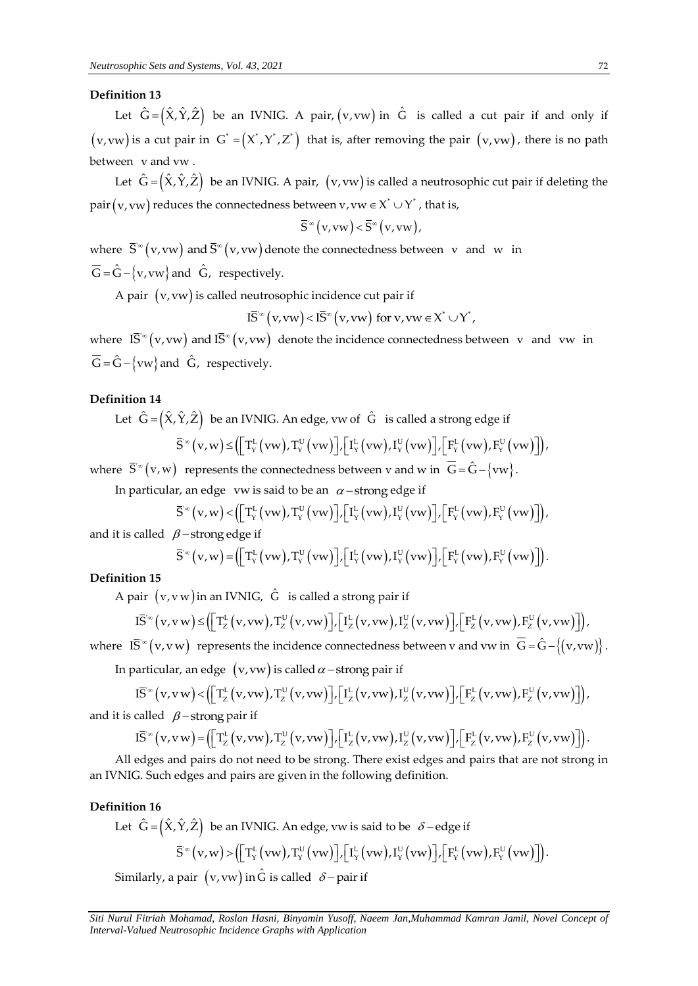## **Definition 13**

Let  $\hat{G} = (\hat{X}, \hat{Y}, \hat{Z})$  be an IVNIG. A pair,  $(v, vw)$  in  $\hat{G}$  is called a cut pair if and only if  $(v, vw)$  is a cut pair in  $G^* = (X^*, Y^*, Z^*)$  that is, after removing the pair  $(v, vw)$ , there is no path between v and vw .

Let  $\hat{G} = (\hat{X}, \hat{Y}, \hat{Z})$  be an IVNIG. A pair,  $(v, vw)$  is called a neutrosophic cut pair if deleting the pair $\big($  v, vw $\big)$  reduces the connectedness between v, vw  $\in$  X $^*$   $\cup$  Y $^*$  , that is,

$$
\overline{S}^{\infty}(v,vw) < \overline{S}^{\infty}(v,vw),
$$

where  $\bar{S}^{\infty}(v, vw)$  and  $\bar{S}^{\infty}(v, vw)$  $\bar{S}^\infty\bigl(\mathrm{v},\mathrm{vw}\bigr)$  and  $\bar{S}^\infty\bigl(\mathrm{v},\mathrm{vw}\bigr)$  denote the connectedness between  $\|{\mathrm{v}}\|$  and  $\|{\mathrm{w}}\|$  in  $\overline{\hat{\mathsf{G}}}$  =  $\hat{\hat{\mathsf{G}}}$  –  $\{v, vw\}$  and  $\hat{\mathsf{G}}$ , respectively.

A pair  $(v, vw)$  is called neutrosophic incidence cut pair if<br>  $I\overline{S}^{\infty}(v, vw) < I\overline{S}^{\infty}(v, vw)$  for  $v, vw \in X^* \cup Y^*$ ,

$$
(\overline{S}^{\infty} (v, vw) < I\overline{S}^{\infty} (v, vw) \text{ for } v, vw \in X^* \cup Y^*,
$$

where  $\overline{IS}^{\infty}(v,vw)$  and  $\overline{IS}^{\infty}(v,vw)$  $\bar{\mathrm{IS}}^\infty\big(\mathrm{v},\mathrm{vw}\big)$  and  $\bar{\mathrm{IS}}^\infty\big(\mathrm{v},\mathrm{vw}\big)$  denote the incidence connectedness between v and vw in  $\overline{G} = \hat{G} - \{vw\}$  and  $\hat{G}$ , respectively.

## **Definition 14**

Let 
$$
\hat{G} = (\hat{X}, \hat{Y}, \hat{Z})
$$
 be an IVNIG. An edge, vw of  $\hat{G}$  is called a strong edge if  
\n
$$
\overline{S}^{\infty}(v, w) \leq (\left[T_Y^{L}(vw), T_Y^{U}(vw)\right], \left[T_Y^{L}(vw), I_Y^{U}(vw)\right], \left[F_Y^{L}(vw), F_Y^{U}(vw)\right],
$$

where  $\vec{S}^{\infty}(v,w)$  represents the connectedness between v and w in  $\vec{G} = \hat{G} - \{vw\}$ .

In particular, an edge *vw* is said to be an 
$$
\alpha
$$
-strong edge if  
\n
$$
\overline{S}^{\infty}(v,w) < (\left[T_v^L(vw),T_v^U(vw)\right], \left[T_v^L(vw),T_v^U(vw)\right], \left[F_v^L(vw),F_v^U(vw)\right],
$$

and it is called  $\beta$  – strong edge if

$$
3 - \text{strong edge if}
$$
  
\n
$$
\overline{S}^{\infty}(v, w) = \left( \left[ T_{v}^{L}(vw), T_{v}^{U}(vw) \right], \left[ T_{v}^{L}(vw), T_{v}^{U}(vw) \right], \left[ F_{v}^{L}(vw), F_{v}^{U}(vw) \right] \right).
$$

#### **Definition 15**

nition 15  
\nA pair 
$$
(v, v w)
$$
 in an IVNIG,  $\hat{G}$  is called a strong pair if  
\n
$$
I\overline{S}^{\infty}(v, vw) \leq \left( \left[ T_Z^{L}(v, vw), T_Z^{U}(v, vw) \right], \left[ I_Z^{L}(v, vw), I_Z^{U}(v, vw) \right], \left[ F_Z^{L}(v, vw), F_Z^{U}(v, vw) \right] \right),
$$

where 
$$
\overline{IS}^{\infty}(v, vw)
$$
 represents the incidence connectedness between v and vw in  $\overline{G} = \hat{G} - \{(v, vw)\}\)$ .  
\nIn particular, an edge  $(v, vw)$  is called  $\alpha$ -strong pair if  
\n $\overline{IS}^{\infty}(v, vw) < (\left[\overline{T}_z^L(v, vw), \overline{T}_z^U(v, vw)\right], \left[\overline{T}_z^L(v, vw), \overline{T}_z^U(v, vw)\right], \left[\overline{F}_z^L(v, vw), \overline{F}_z^U(v, vw)\right])$ ,  
\nand it is called  $\beta$ -strong pair if  
\n $\overline{IS}^{\infty}(v, vw) = (\left[\overline{T}_z^L(v, vw), \overline{T}_z^U(v, vw)\right], \left[\overline{T}_z^L(v, vw), \overline{T}_z^U(v, vw)\right], \left[\overline{F}_z^L(v, vw), \overline{F}_z^U(v, vw)\right])$ .

and it is called  $\beta$  – strong pair if

\n
$$
\text{L3 } (v, v, w) < \left[ \left[ \frac{1}{2} (v, vw), \frac{1}{2} (v, vw) \right] \right], \left[ \frac{1}{2} (v, vw), \frac{1}{2} (v, vw) \right], \left[ \frac{1}{2} (v, vw), \frac{1}{2} (v, vw) \right],
$$
\n

\n\n called  $\beta$ -strong pair if\n

\n\n $\text{I5}^{\infty} (v, vw) = \left( \left[ \frac{T_L^L(v, vw)}{T_Z^L(v, vw)}, \frac{T_U^U(v, vw)}{T_Z^L(v, vw)} \right], \left[ \frac{T_L^L(v, vw)}{T_Z^L(v, vw)} \right], \left[ \frac{F_L^L(v, vw)}{F_Z^L(v, vw)} \right].$ \n

\n\n edges and pairs do not need to be strong. There exist edges and pairs that are not strong.\n

All edges and pairs do not need to be strong. There exist edges and pairs that are not strong in an IVNIG. Such edges and pairs are given in the following definition.

## **Definition 16**

Let  $\hat G$  =  $\left(\hat X,\hat Y,\hat Z\right)$  be an IVNIG. An edge, vw is said to be  $\,\,\delta$  – edge if  $\left( \int_{-\infty}^{\infty} (v,w) > \left( \left[ T_Y^L(vw), T_Y^U(vw) \right], \left[ T_Y^L(vw), T_Y^U(vw) \right], \left[ F_Y^L(vw), F_Y^U(vw) \right] \right) \right)$  $(\hat{Y}, \hat{Z})$  be an IVNIG. An edge, vw is said to be  $\delta$  – edge if  $\overline{S}^{\infty}(v, w) > (\left[\Gamma_{Y}^{L}(vw), \Gamma_{Y}^{U}(vw)\right], \left[\Gamma_{Y}^{L}(vw), \Gamma_{Y}^{U}(vw)\right], \left[\Gamma_{Y}^{L}(vw), \Gamma_{Y}^{U}(vw)\right]).$ .

Similarly, a pair  $\,({\rm v}, {\rm vw})$  in  $\hat {\rm G}$  is called  $\,\delta\!-\!{\rm pair}$  if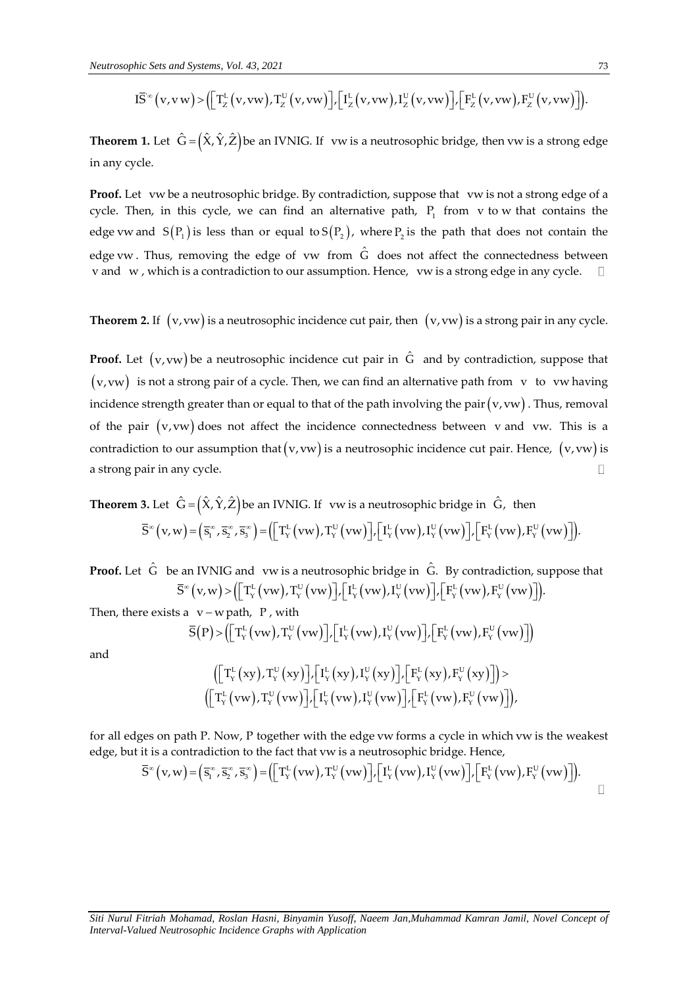*hic Sets and Systems, Vol. 43, 2021*  
\n
$$
\overline{IS}^{\infty}(v, vw) > (\left[\Gamma_{Z}^{L}(v, vw), \Gamma_{Z}^{U}(v, vw)\right], \left[\Gamma_{Z}^{L}(v, vw), \Gamma_{Z}^{U}(v, vw)\right], \left[\Gamma_{Z}^{L}(v, vw), \Gamma_{Z}^{U}(v, vw)\right]).
$$
\n(73)

**Theorem 1.** Let  $\hat{G} = (\hat{X}, \hat{Y}, \hat{Z})$ be an IVNIG. If vw is a neutrosophic bridge, then vw is a strong edge in any cycle.

**Proof.** Let vw be a neutrosophic bridge. By contradiction, suppose that vw is not a strong edge of a cycle. Then, in this cycle, we can find an alternative path,  $P_1$  from v to w that contains the edge vw and  $S(P_1)$  is less than or equal to  $S(P_2)$ , where  $P_2$  is the path that does not contain the edge vw. Thus, removing the edge of vw from  $\hat{G}$  does not affect the connectedness between v and w , which is a contradiction to our assumption. Hence, vw is a strong edge in any cycle.

**Theorem 2.** If  $(v, vw)$  is a neutrosophic incidence cut pair, then  $(v, vw)$  is a strong pair in any cycle.

**ID**  $\mathbf{B}^{-1}(\mathbf{v}, \mathbf{w}) \times \left[ \left[ \sum_{k=1}^{\infty} (\mathbf{v}, \mathbf{w}) \right], \left[ \sum_{k=1}^{\infty} (\mathbf{v}, \mathbf{w}) \right], \left[ \sum_{k=1}^{\infty} (\mathbf{v}, \mathbf{w}) \right], \left[ \sum_{k=1}^{\infty} (\mathbf{v}, \mathbf{w}) \right], \left[ \sum_{k=1}^{\infty} (\mathbf{v}, \mathbf{w}) \right], \left[ \sum_{k=1}^{\infty} (\mathbf{v}, \mathbf{w}) \right], \left[ \sum_{k=1$ **Proof.** Let  $(v, vw)$  be a neutrosophic incidence cut pair in  $\hat{G}$  and by contradiction, suppose that  $(v, vw)$  is not a strong pair of a cycle. Then, we can find an alternative path from v to vw having incidence strength greater than or equal to that of the path involving the pair (v, vw) . Thus, removal of the pair  $(v, vw)$  does not affect the incidence connectedness between  $v$  and  $vw$ . This is a contradiction to our assumption that  $(v,vw)$  is a neutrosophic incidence cut pair. Hence,  $(v,vw)$  is a strong pair in any cycle.  $\Box$ 

**Theorem 3.** Let  $\hat{G} = \big(\hat{X}, \hat{Y}, \hat{Z}\big)$ be an IVNIG. If vw is a neutrosophic bridge in  $\hat{G}$ , then Let  $\mathbf{G} = (X, Y, Z)$  be an IVNIG. If vw is a neutrosophic bridge in G, then<br>  $(\mathbf{v}, \mathbf{w}) = (\overline{\mathbf{s}}_1^{\infty}, \overline{\mathbf{s}}_2^{\infty}, \overline{\mathbf{s}}_3^{\infty}) = (\left[ \mathbf{T}_{Y}^{L}(\mathbf{v}\mathbf{w}), \mathbf{T}_{Y}^{U}(\mathbf{v}\mathbf{w}) \right], \left[ \mathbf{I}_{Y}^{L}(\mathbf{v}\mathbf{w}), \mathbf{I}_{Y}^{U}$ **3.** Let  $\hat{G} = (\hat{X}, \hat{Y}, \hat{Z})$  be an IVNIG. If vw is a neutrosophic bridge in  $\hat{G}$ , then  $\overline{S}^{\infty}(v, w) = (\overline{s}_1^{\infty}, \overline{s}_2^{\infty}, \overline{s}_3^{\infty}) = ([T_Y^L(vw), T_Y^U(vw)] , [I_Y^L(vw), I_Y^U(vw)] , [F_Y^L(vw), F_Y^U(vw)]).$ 

**Proof.** Let  $\hat{G}$  be an IVNIG and vw is a neutrosophic bridge in  $\hat{G}$ . By contradiction, suppose that I IVNIG and vwis a neutrosophic bridge in G. By contradiction, story  $(v,w) > (\lceil T_Y^{\text{L}}(vw), T_Y^{\text{U}}(vw) \rceil, \lceil I_Y^{\text{L}}(vw), I_Y^{\text{U}}(vw) \rceil, \lceil F_Y^{\text{L}}(vw), F_Y^{\text{U}}(vw) \rceil).$ an IVNIG and vw is a neutrosophic bridge in  $\hat{G}$ . By contradiction, suppose t  $\overline{S}^{\infty}(v,w) > (\left[\begin{matrix}T_v^L(vw), T_v^U(vw)\end{matrix}\right], \left[\begin{matrix}I_v^L(vw), I_v^U(vw)\end{matrix}\right], \left[\begin{matrix}F_v^L(vw), F_v^U(vw)\end{matrix}\right])$ .

Then, there exists  $a \ v - w$  path, P, with v – w path, P, with<br>  $\text{(P)} > \left( \left\lceil \text{T}_{Y}^{\text{L}}(\text{vw}), \text{T}_{Y}^{\text{U}}(\text{vw}) \right\rceil, \left\lceil \text{I}_{Y}^{\text{L}}(\text{vw}), \text{I}_{Y}^{\text{U}}(\text{vw}) \right\rceil, \left\lceil \text{F}_{Y}^{\text{L}}(\text{vw}), \text{F}_{Y}^{\text{U}}(\text{vw}) \right\rceil \right)$ (*v, w*) = ([x<sub>{</sub> (*v, w*), x<sub>{</sub> (*v, w*)], [x<sub>{</sub> (*v, w*), x<sub>{</sub> (*v, w*)], [x<sub>{</sub> (*vw*)], [x<sub>{</sub> (*vw*)], [x<sub>{</sub> (*vw*)], [x<sub>{</sub> (*vw*)], [x<sub>{</sub> (*vw*)], [x<sub>{</sub> (*vw*)], [x<sub>{</sub> (*vw*)], [x<sub>{</sub> (*vw*)])

and

$$
\begin{array}{l} \left(\left[\left.T_{Y}^{L}\left(xy\right),T_{Y}^{U}\left(xy\right)\right],\left[I_{Y}^{L}\left(xy\right),I_{Y}^{U}\left(xy\right)\right],\left[F_{Y}^{L}\left(xy\right),F_{Y}^{U}\left(xy\right)\right]\right], \\ \left(\left[\left.T_{Y}^{L}\left(vw\right),T_{Y}^{U}\left(vw\right)\right],\left[I_{Y}^{L}\left(vw\right),I_{Y}^{U}\left(vw\right)\right],\left[F_{Y}^{L}\left(vw\right),F_{Y}^{U}\left(vw\right)\right]\right), \end{array}
$$

for all edges on path P. Now, P together with the edge vw forms a cycle in which vw is the weakest<br>edge, but it is a contradiction to the fact that vw is a neutrosophic bridge. Hence,<br> $\overline{S}^{\infty}(v,w) = (\overline{s}_1^{\infty}, \overline{s}_2^{\infty$ 

edge, but it is a contradiction to the fact that vw is a neutrosophic bridge. Hence,  
\n
$$
\overline{S}^{\infty}(v,w) = (\overline{s}_{1}^{\infty}, \overline{s}_{2}^{\infty}, \overline{s}_{3}^{\infty}) = (\left[T_{Y}^{L}(vw), T_{Y}^{U}(vw)\right], \left[T_{Y}^{L}(vw), I_{Y}^{U}(vw)\right], \left[F_{Y}^{L}(vw), F_{Y}^{U}(vw)\right].
$$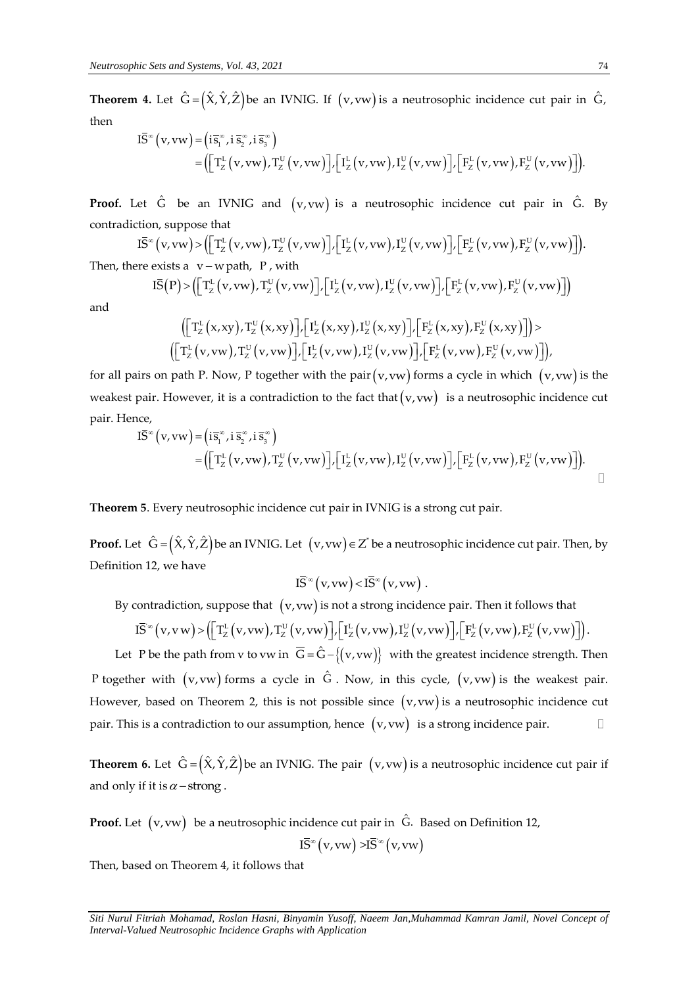**Theorem 4.** Let  $\hat{G} = (\hat{X}, \hat{Y}, \hat{Z})$  be an IVNIG. If  $(v, vw)$  is a neutrosophic incidence cut pair in  $\hat{G}$ ,<br>
then<br>  $I\bar{S}^*(v, vw) = (\overline{i s}_1^{\alpha}, i \overline{s}_2^{\alpha}, i \overline{s}_3^{\alpha})$ <br>  $(\overline{F}U(1, v), TU(1, v), TU(1, v), TU(1, v), TU(1, v), TU(1, v), TU($ then  $\infty$  (v, vw) =  $(i\overline{s}_i^{\infty}, i\overline{s}_i^{\infty}, i\overline{s}_i^{\infty})$ 

$$
\begin{split} I\overline{S}^{\infty}\left(v,vw\right)&=\left(i\overline{s}_{1}^{\infty},i\,\overline{s}_{2}^{\infty},i\,\overline{s}_{3}^{\infty}\right)\\ & =\left(\left[\,T_{Z}^{L}\left(v,vw\right),T_{Z}^{U}\left(v,vw\right)\right],\left[\,I_{Z}^{L}\left(v,vw\right),I_{Z}^{U}\left(v,vw\right)\right],\left[\,F_{Z}^{L}\left(v,vw\right),F_{Z}^{U}\left(v,vw\right)\right]\right). \end{split}
$$

**Proof.** Let  $\hat{G}$  be an IVNIG and  $(v,vw)$  is a neutrosophic incidence cut pair in  $\hat{G}$ . By contradiction, suppose that  $I\bar{S}^*(v,vw) > (\left[T^L_Z(v,vw),T^U_Z(v,vw)\right], \left[T^L_Z(v,vw),T^U_Z(v,vw)\right], \left[T^L_Z(v,vw),F^U_Z(v,vw)\right].$ <br>Then there exists a v contradiction, suppose that

\n liction, suppose that\n 
$$
I\overline{S}^{\infty}(v, vw) > \left(\left[T_{Z}^{L}(v, vw), T_{Z}^{U}(v, vw)\right], \left[T_{Z}^{L}(v, vw), T_{Z}^{U}(v, vw)\right], \left[T_{Z}^{L}(v, vw), F_{Z}^{U}(v, vw)\right]\right).
$$
\n

\n\n hence exists a  $v$ ,  $v$  such that  $P$ ,  $v$  is the  $v$  at  $v$  at  $v$  at  $v$  at  $v$  at  $v$  at  $v$  at  $v$  at  $v$  at  $v$  at  $v$  at  $v$  at  $v$  at  $v$  at  $v$  at  $v$  at  $v$  at  $v$  at  $v$  at  $v$  at  $v$  at  $v$  at  $v$  at  $v$  at  $v$  at  $v$  at  $v$  at  $v$  at  $v$  at  $v$  at  $v$  at  $v$  at  $v$  at  $v$  at  $v$  at  $v$  at  $v$  at  $v$  at  $v$  at  $v$  at  $v$  at  $v$  at  $v$  at  $v$  at  $v$  at  $v$  at  $v$  at  $v$  at  $v$  at  $v$  at  $v$  at  $v$  at  $v$  at  $v$  at  $v$  at  $v$  at  $v$  at  $v$  at  $v$  at  $v$  at  $v$  at  $v$  at  $v$  at  $v$  at  $v$  at  $v$  at  $v$  at  $v$  at  $v$  at  $v$  at  $v$  at  $v$  at  $v$  at  $v$  at  $v$  at  $v$  at  $v$  at  $v$  at  $v$  at  $v$  at  $v$  at  $v$  at  $v$  at  $v$  at  $v$  at  $v$  at  $v$  at

Then, there exists  $a \, v-w$  path, P, with

$$
{}^{c}(v,vw) > ([T_{Z}^{L}(v,vw),T_{Z}^{U}(v,vw)] / [I_{Z}^{L}(v,vw),I_{Z}^{U}(v,vw)] / [F_{Z}^{L}(v,vw),F_{Z}^{U}(v,vw)]].
$$
  
exists a v – w path, P, with  

$$
I\overline{S}(P) > ([T_{Z}^{L}(v,vw),T_{Z}^{U}(v,vw)] / [I_{Z}^{L}(v,vw),I_{Z}^{U}(v,vw)] / [F_{Z}^{L}(v,vw),F_{Z}^{U}(v,vw)]]
$$

$$
([T_{Z}^{L}(x,xy),T_{Z}^{U}(x,xy)] / [I_{Z}^{L}(x,xy),I_{Z}^{U}(x,xy)] / [F_{Z}^{L}(x,xy),F_{Z}^{U}(x,xy)]] >
$$

and

$$
\left( \left[ T_Z^L(x, xy), T_Z^U(x, xy) \right], \left[ T_Z^L(x, xy), T_Z^U(x, xy) \right], \left[ F_Z^L(x, xy), F_Z^U(x, xy) \right] \right) > \\ \left( \left[ T_Z^L(v, vw), T_Z^U(v, vw) \right], \left[ T_Z^L(v, vw), T_Z^U(v, vw) \right], \left[ F_Z^L(v, vw), F_Z^U(v, vw) \right] \right),
$$

for all pairs on path P. Now, P together with the pair(v,vw) forms a cycle in which  $(v,vw)$  is the weakest pair. However, it is a contradiction to the fact that  $(v, vw)$  is a neutrosophic incidence cut<br>
pair. Hence,<br>  $I\overline{S}^{\infty}(v, vw) = (i\overline{s}_1^{\infty}, i\overline{s}_2^{\infty}, i\overline{s}_3^{\infty})$ <br>  $(\Gamma_{\Gamma L}(\cdot) \Gamma_{\Gamma L}^{\text{U}}(\cdot)) \Gamma_{\Gamma L}^{\text{U}}(\cdot) \Gamma_{\$ pair. Hence,  $(x, y) = (i\overline{s}_n^{\infty}, i\overline{s}_n^{\infty}, i\overline{s}_n^{\infty})$ 

nce,  
\n
$$
\overline{IS}^{\infty}(v, vw) = (i\overline{s}_{1}^{\infty}, i\overline{s}_{2}^{\infty}, i\overline{s}_{3}^{\infty})
$$
\n
$$
= ([T_{Z}^{L}(v, vw), T_{Z}^{U}(v, vw)] , [I_{Z}^{L}(v, vw), I_{Z}^{U}(v, vw) ], [F_{Z}^{L}(v, vw), F_{Z}^{U}(v, vw) ]).
$$

**Theorem 5**. Every neutrosophic incidence cut pair in IVNIG is a strong cut pair.

**Proof.** Let  $\hat{G} = (\hat{X}, \hat{Y}, \hat{Z})$ be an IVNIG. Let  $(v, vw)$   $\in$  Z $^*$ be a neutrosophic incidence cut pair. Then, by Definition 12, we have

 $\overline{\mathcal{S}}^{\infty}(v, vw) < \overline{\mathcal{S}}^{\infty}(v, vw)$  $I\bar{S}^{\infty}(v,vw) < I\bar{S}^{\infty}(v,vw)$ .

$$
IS^{\infty}(v, vw) < IS^{\infty}(v, vw).
$$
  
By contradiction, suppose that  $(v, vw)$  is not a strong incidence pair. Then it follows that  

$$
I\overline{S}^{\infty}(v, vw) > \left( \left[ T_Z^L(v, vw), T_Z^U(v, vw) \right], \left[ I_Z^L(v, vw), I_Z^U(v, vw) \right], \left[ F_Z^L(v, vw), F_Z^U(v, vw) \right] \right).
$$

Let P be the path from v to vw in  $\overline{G} = \hat{G} - \{(v, vw)\}$  with the greatest incidence strength. Then P together with  $(v, vw)$  forms a cycle in  $\,\hat G$  . Now, in this cycle,  $(v, vw)$  is the weakest pair. However, based on Theorem 2, this is not possible since  $(v, vw)$  is a neutrosophic incidence cut pair. This is a contradiction to our assumption, hence  $(v, vw)$  is a strong incidence pair.  $\Box$ 

**Theorem 6.** Let  $\hat{G} = (\hat{X}, \hat{Y}, \hat{Z})$ be an IVNIG. The pair  $(v, vw)$  is a neutrosophic incidence cut pair if and only if it is  $\alpha$  -strong.

**Proof.** Let  $(v, vw)$  be a neutrosophic incidence cut pair in  $\hat{G}$ . Based on Definition 12,  $I\bar{S}^{\infty}(v,vw) > I\bar{S}^{\infty}(v,vw)$ 

Then, based on Theorem 4, it follows that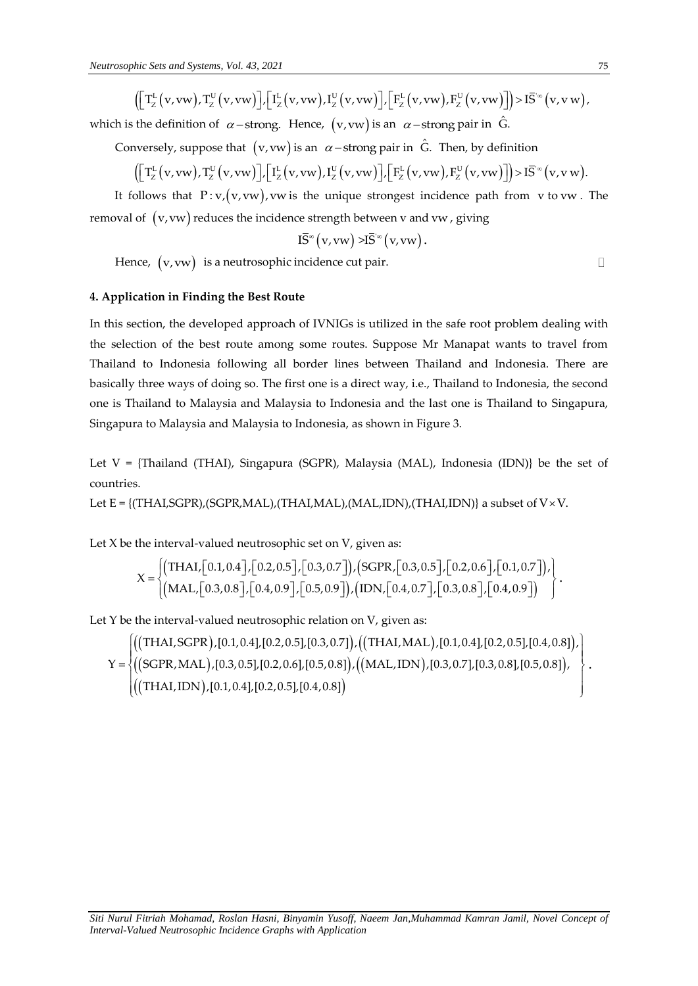*hic Sets and Systems, Vol. 43, 2021*  
\n
$$
\left( \left[ T_Z^L(v, vw), T_Z^U(v, vw) \right], \left[ I_Z^L(v, vw), I_Z^U(v, vw) \right], \left[ F_Z^L(v, vw), F_Z^U(v, vw) \right] \right) > I\overline{S}^{\infty}(v, vw),
$$

which is the definition of  $\alpha$  – strong. Hence,  $(v,vw)$  is an  $\alpha$  – strong pair in  $\hat{G}$ .

Conversely, suppose that  $(v, vw)$  is an  $\alpha$  – strong pair in  $\hat{G}$ . Then, by definition

the definition of 
$$
\alpha
$$
-strong. Hence,  $(v, vw)$  is an  $\alpha$ -strong pair in G.  
wersely, suppose that  $(v, vw)$  is an  $\alpha$ -strong pair in  $\hat{G}$ . Then, by definition  
 $\left( \left[ T_Z^L(v, vw), T_Z^U(v, vw) \right], \left[ I_Z^L(v, vw), I_Z^U(v, vw) \right], \left[ F_Z^L(v, vw), F_Z^U(v, vw) \right] \right) > I\overline{S}^{\infty}(v, vw)$ .

It follows that  $P: v, (v, vw), vw$  is the unique strongest incidence path from  $v$  to  $vw$ . The removal of  $\,$  (v, vw) reduces the incidence strength between v and vw , giving

$$
I\overline{S}^{\infty}\big(v,vw\big) > I\overline{S}^{\infty}\big(v,vw\big)\,.
$$

Hence,  $(v, vw)$  is a neutrosophic incidence cut pair.

## **4. Application in Finding the Best Route**

*I*( $\text{I}(X|X) \sim \text{I}(Y|X) \sim \text{V}(X) \sim \text{II}(Y|X) \sim \text{V}(Y|X) \sim \text{V}(Y|X) \sim \text{V}(Y|X) \sim \text{V}(Y|X) \sim \text{V}(Y|X) \sim \text{V}(Y|X) \sim \text{V}(Y|X) \sim \text{V}(Y|X) \sim \text{V}(Y|X) \sim \text{V}(Y|X) \sim \text{V}(Y|X) \sim \text{V}(Y|X) \sim \text{V}(Y|X) \sim \text{V}(Y|X) \sim \text{V}(Y|X) \sim \text{V}(Y|X)$ In this section, the developed approach of IVNIGs is utilized in the safe root problem dealing with the selection of the best route among some routes. Suppose Mr Manapat wants to travel from Thailand to Indonesia following all border lines between Thailand and Indonesia. There are basically three ways of doing so. The first one is a direct way, i.e., Thailand to Indonesia, the second one is Thailand to Malaysia and Malaysia to Indonesia and the last one is Thailand to Singapura, Singapura to Malaysia and Malaysia to Indonesia, as shown in Figure 3.

Let  $V = {Thailand (THAI), Singapura (SGPR), Malaysia (MAL), Indonesia (IDN)}$  be the set of countries.

Let E = {(THAI,SGPR),(SGPR,MAL),(THAI,MAL),(MAL,IDN),(THAI,IDN)} a subset of  $V \times V$ .

Let X be the interval-valued neutrosophic set on V, given as:

the interval-valued neutrosophic set on V, given as:  
\n
$$
X = \begin{cases}\n(THAI, [0.1, 0.4], [0.2, 0.5], [0.3, 0.7]), (SGPR, [0.3, 0.5], [0.2, 0.6], [0.1, 0.7]), \\
(MAL, [0.3, 0.8], [0.4, 0.9], [0.5, 0.9]), (IDN, [0.4, 0.7], [0.3, 0.8], [0.4, 0.9])\n\end{cases}
$$

Let Y be the interval-valued neutrosophic relation on V, given as:

((THAI,SGPR),[0.1,0.4],[0.2,0.5],[0.3,0.7]),((THAI,MAL),[0.1,0.4],[0.2,0.5],[0.4,0.8]) ((SGPR,MAL),[0.3,0.5],[0.2,0.6],[0.5,0.8]),((MAL,IDN),[0.3,0.7],[0.3,0.8],[0.5,0.8])  $((THAI, IDN), [0.1, 0.4], [0.2, 0.5], [0.4, 0.8])$ ie interval-valued neutrosophic relation on V, given as:<br>THAI,SGPR ), [0.1,0.4], [0.2,0.5], [0.3,0.7] ), ((THAI,MAL), [0.1,0.4], [0.2,0.5], [0.4,0.8] ),<br>SCPR MAL ), [0.3,0.5], [0.2,0.6], [0.5,0.8] ((MAL, JDN), [0.3,0.7], Y Be the interval-valued neutrosophic relation on v, given as:<br>  $Y = \begin{cases} ((THAI,SGPR), [0.1, 0.4], [0.2, 0.5], [0.3, 0.7]), ((THAI, MAL), [0.1, 0.4], [0.2, 0.5], [0.4, 0.8], \ (SGPR, MAL), [0.3, 0.5], [0.2, 0.6], [0.5, 0.8]), ((MAL,IDN), [0.3, 0.7], [0.3, 0.8], [0.5, 0.8]), \ ((TH$ ((THAI,SGPR),[0.1,0.4],[0.2,0.5],[0.3,0.:<br>((SGPR,MAL),[0.3,0.5],[0.2,0.6],[0.5,0.8]<br>(((THAI,IDN),[0.1,0.4],[0.2,0.5],[0.4,0.8]  $=\left\{$  $\overline{\phantom{a}}$  $\left\{\right.}$  $\left\{\begin{aligned} &\left(\begin{pmatrix} \text{[THAI,SGPR)}, [0.1, 0.4], [0.2, 0.5], [0.3, 0.7]\end{pmatrix}, \left(\begin{pmatrix} \text{[THAI, MAL)}, [0.1, 0.4], [0.2, 0.5], [0.4, 0.8]\end{pmatrix}\right), \ &\left(\begin{pmatrix} \text{[SGPR, MAL)}, [0.3, 0.5], [0.2, 0.6], [0.5, 0.8]\end{pmatrix}, \left(\begin{pmatrix} \text{[MAL,IDN)}, [0.3, 0.7], [0.3, 0.8], [0.5, 0.8]\end{pm$  $\left\{\begin{aligned} &\left(\left(\text{THAI},\text{SGPR}\right),\left[0.1,0.4\right],\left[0.2,0.5\right],\left[0.3,0.7\right]\right), \left(\left(\text{THAI},\text{MAL}\right),\left[0.1,0.4\right],\left[0.2,0.5\right],\left[0.4,0.8\right]\right), \ &\left(\left(\text{SGPR},\text{MAL}\right),\left[0.3,0.5\right],\left[0.2,0.6\right],\left[0.5,0.8\right]\right), \ &\left(\left(\text{THAI},\text{IDN}\right),\left[0.1,0.4\right],\$ 

 $\Box$ 

.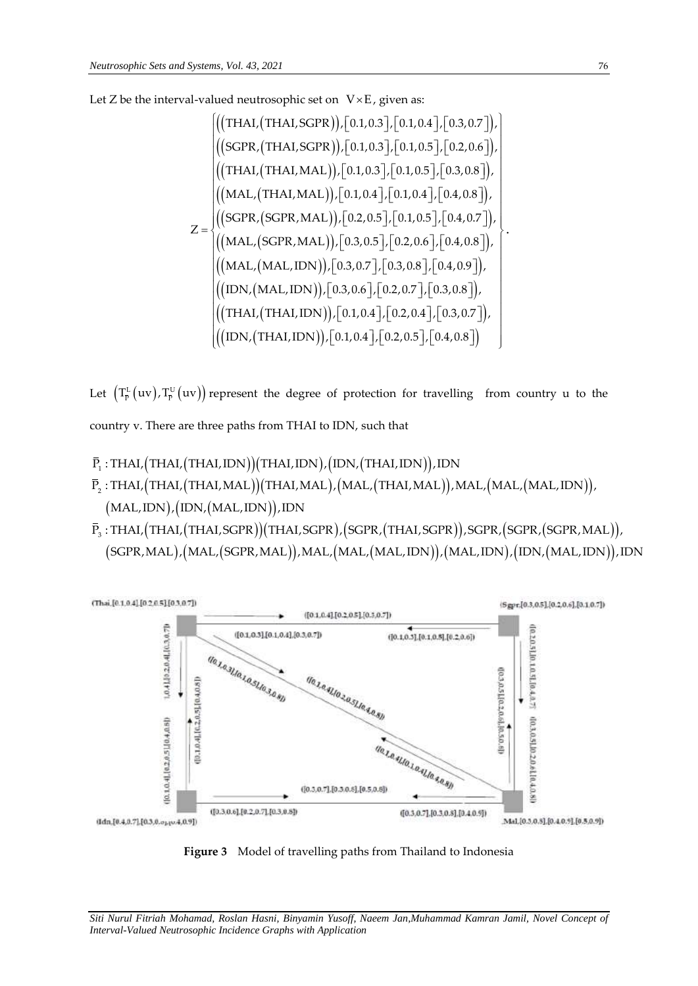Let Z be the interval-valued neutrosophic set on V×E, given as:  
\n
$$
\begin{aligned}\n\left(\begin{matrix}\n(THAI,(THAI,SGPR)),[0.1,0.3],[0.1,0.4],[0.3,0.7]\n\end{matrix},\n\begin{matrix}\n(9.3,0.7)\n\end{matrix},\n\begin{matrix}\n(9.4,0.3],[0.1,0.3],[0.1,0.5],[0.2,0.6]\n\end{matrix},\n\begin{matrix}\n(9.4,0.7)\n\end{matrix},\n\begin{matrix}\n(9.4,0.8)\n\end{matrix},\n\begin{matrix}\n(10.4,0.7)\n\end{matrix},\n\begin{matrix}\n(10.4,0.7)\n\end{matrix},\n\begin{matrix}\n(10.4,0.8)\n\end{matrix},\n\begin{matrix}\n(10.4,0.8)\n\end{matrix},\n\begin{matrix}\n(10.4,0.8)\n\end{matrix},\n\begin{matrix}\n(10.4,0.8)\n\end{matrix},\n\begin{matrix}\n(10.4,0.8)\n\end{matrix},\n\begin{matrix}\n(10.4,0.8)\n\end{matrix},\n\begin{matrix}\n(10.4,0.8)\n\end{matrix},\n\begin{matrix}\n(10.4,0.8)\n\end{matrix},\n\begin{matrix}\n(10.4,0.8)\n\end{matrix},\n\begin{matrix}\n(10.4,0.8)\n\end{matrix},\n\begin{matrix}\n(10.4,0.8)\n\end{matrix},\n\begin{matrix}\n(10.4,0.8)\n\end{matrix},\n\begin{matrix}\n(10.4,0.8)\n\end{matrix},\n\begin{matrix}\n(10.4,0.8)\n\end{matrix},\n\begin{matrix}\n(10.4,0.8)\n\end{matrix},\n\begin{matrix}\n(10.4,0.8)\n\end{matrix},\n\begin{matrix}\n(10.4,0.8)\n\end{matrix},\n\begin{matrix}\n(10.4,0.8)\n\end{matrix},\n\begin{matrix}\n(10.4,0.8)\n\end{matrix},\n\begin{matrix}\n(10.4,0.8)\n\end{matrix},\n\begin{matrix}\n(10.4,0.8)\n\end{matrix},\n\begin{matrix}\n(10.4
$$

Let  $\left(T^{\text{L}}_{\bar{\text{P}}}\left(\text{uv}\right), T^{\text{U}}_{\bar{\text{P}}} \left(\text{uv}\right)\right)$  represent the degree of protection for travelling from country u to the country v. There are three paths from THAI to IDN, such that

- $\Gamma_{\!\!1}$  : THAI,(THAI,(THAI,IDN))(THAI,IDN),(IDN,(THAI,IDN)). , : THAI,(THAI,(THAI,MAL))(THAI,MAL),(MAL,(THAI,MAL)),MAL,(MAL,(MAL,IDN))  $(MAL, IDN), (IDN, (MAL, IDN)), IDN$ country v. There are three paths from THAI to IDN, such that<br>P<sub>1</sub> : THAI, (THAI, (THAI,IDN)) (THAI,IDN), (IDN, (THAI,IDN)), IDN<br>P<sub>2</sub> : THAI, (THAI, (THAI,MAL)) (THAI,MAL), (MAL, (THAI,MAL)), N  $\overline{P}_1$  : THAI,(THAI,(THAI,IDN))(THAI,IDN),(IDN,(THAI,IDN)),IDN<br> $\overline{P}_2$  : THAI,(THAI,(THAI,MAL))(THAI,MAL),(MAL,(THAI,MAL)),MAL,(MAL,(MAL,IDN)),<br>(MAL.IDN).(IDN.(MAL.IDN)).IDN THAL,(THAL,(THAL,IDN))(THAL,IL<br>THAL,(THAL,(THAL,MAL))(THAL,N<br>MAL,IDN),(IDN,(MAL,IDN)),IDN<br>THAL.(THAL.(THAL.SGPR))(THAL.  $\overline{P}_2$  : THAI, (THAI, (THAI, MAL))(THAI, MAL), (MAL, (THAI, MAL)), MAL, (MAL, (MAL, IDN)),<br>(MAL, IDN), (IDN, (MAL, IDN)), IDN<br> $\overline{P}_3$  : THAI, (THAI, (THAI, SGPR))(THAI, SGPR), (SGPR, (THAI, SGPR)), SGPR, (SGPR, (SGPR
- , : THAI,(THAI,(THAI,SGPR))(THAI,SGPR),(SGPR,(THAI,SGPR)),SGPR,(SGPR,(SGPR,MAL))  $(SGPR, MAL), (MAL, (SGPR, MAL)), MAL, (MAL, (MAL, IDN)), (MAL, IDN), (IDN, (MAL, IDN)), IDN$



**Figure 3** Model of travelling paths from Thailand to Indonesia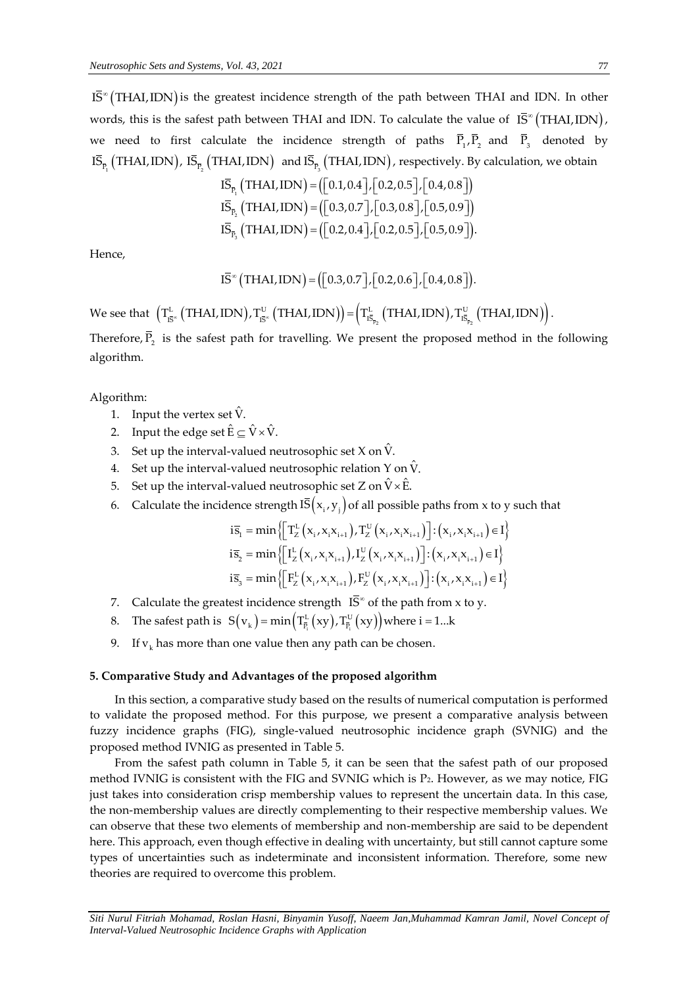$\textdegree$  (THAI, IDN) is the greatest incidence strength of the path between THAI and IDN. In other words, this is the safest path between THAI and IDN. To calculate the value of  $\bar{\mathrm{IS}}^{\circ}(\mathrm{THAI,IDN})$ , we need to first calculate the incidence strength of paths  $P_1, P_2$  and  $P_3$  denoted by  $\overline{\text{IS}}_{\overline{P}_1}$  (THAI,IDN),  $\overline{\text{IS}}_{\overline{P}_2}$  (THAI,IDN) and  $\overline{\text{IS}}_{\overline{P}_3}$  (THAI,IDN), respectively. By calculation, we obtain  $\overline{\text{IS}}_{\overline{P}_1}$  (THAI,IDN) = ([0.1,0.4], [0.2,0.5], [0.4,0.8])

$$
I\overline{S}_{\overline{P}_1} (THAI, IDN) = ([0.1, 0.4], [0.2, 0.5], [0.4, 0.8])
$$
  
\n
$$
I\overline{S}_{\overline{P}_2} (THAI, IDN) = ([0.3, 0.7], [0.3, 0.8], [0.5, 0.9])
$$
  
\n
$$
I\overline{S}_{\overline{P}_3} (THAI, IDN) = ([0.2, 0.4], [0.2, 0.5], [0.5, 0.9]).
$$

Hence,

$$
I\bar{S}^{\infty} (THAI, IDN) = ([0.3, 0.7], [0.2, 0.6], [0.4, 0.8]).
$$

We see that  $(T^{\text{L}}_{I\bar{S}^{\infty}}\big(THAI, IDN\big), T^{\text{U}}_{I\bar{S}^{\infty}}\big(THAI, IDN\big)\big)\!=\!\Big(T^{\text{L}}_{I\bar{S}_{\bar{p}_2}}\big(THAI, IDN\big), T^{\text{U}}_{I\bar{S}_{\bar{p}_2}}\big(THAI, IDN\big)\!\Big)$ .  $L_{\overline{R}^{\infty}}\left(\text{THAI,IDN}\right), T_{\overline{R}^{\infty}}^{U}\left(\text{THAI,IDN}\right)\right) = \left(T_{\overline{R}_{-}}^{L}\left(\text{THAI,IDN}\right), T_{\overline{R}}^{U}\right)$ IS " (THAI, IDN) =  $([0.3, 0.7]$ ,  $[0.2, 0.6]$ ,  $[0.4, 0.8]$ ).<br>  $T_{\overline{15}}^L$  (THAI, IDN),  $T_{\overline{15}}^U$  (THAI, IDN)) =  $(T_{\overline{15}}^L_{\overline{15}}$  (THAI, IDN),  $T_{\overline{15}}^U_{\overline{15}}$  (THAI, IDN  $=\left(T_{\bar{{\mathtt{1}}}\bar{{\mathtt{5}}}_-}\right)$  (THAI, IDN),  $T_{\bar{{\mathtt{1}}}\bar{{\mathtt{5}}}_-}$  (THAI, IDN)).

Therefore,  $P_2$  is the safest path for travelling. We present the proposed method in the following algorithm.

## Algorithm:

- 1. Input the vertex set  $\hat{V}$ .
- 2. Input the edge set  $\hat{{\rm E}} \subseteq \hat{{\rm V}} \times \hat{{\rm V}}.$
- 3. Set up the interval-valued neutrosophic set X on  $\hat{\mathsf{V}}$ .
- 4. Set up the interval-valued neutrosophic relation Y on  $\hat{\mathsf{V}}$ .
- 5. Set up the interval-valued neutrosophic set Z on  $\hat{V} \times \hat{E}$ .
- 

6. Calculate the incidence strength IS 
$$
(x_i, y_j)
$$
 of all possible paths from x to y such that  
\n
$$
i\overline{s}_1 = \min \{ \left[ T_Z^L(x_i, x_i x_{i+1}), T_Z^U(x_i, x_i x_{i+1}) \right] : (x_i, x_i x_{i+1}) \in I \}
$$
\n
$$
i\overline{s}_2 = \min \{ \left[ I_Z^L(x_i, x_i x_{i+1}), I_Z^U(x_i, x_i x_{i+1}) \right] : (x_i, x_i x_{i+1}) \in I \}
$$
\n
$$
i\overline{s}_3 = \min \{ \left[ F_Z^L(x_i, x_i x_{i+1}), F_Z^U(x_i, x_i x_{i+1}) \right] : (x_i, x_i x_{i+1}) \in I \}
$$

- 7. Calculate the greatest incidence strength  $\bar{S}^{\infty}$  of the path from x to y.
- 8. The safest path is  $S(v_k) = min(T_{\overline{P}_i}^L(xy), T_{\overline{P}_i}^U(xy))$ est incidence strength  $\text{IS}^{\infty}$  of the path from  $\text{IS}(\text{v}_k) = \text{min}(\text{T}_{\bar{\text{P}}_i}^{\text{L}}(\text{xy}), \text{T}_{\bar{\text{P}}_i}^{\text{U}}(\text{xy}))$  where  $\text{i} = 1... \text{k}$
- 9.  $\;$  If  $\rm{v}_{k}$  has more than one value then any path can be chosen.

#### **5. Comparative Study and Advantages of the proposed algorithm**

In this section, a comparative study based on the results of numerical computation is performed to validate the proposed method. For this purpose, we present a comparative analysis between fuzzy incidence graphs (FIG), single-valued neutrosophic incidence graph (SVNIG) and the proposed method IVNIG as presented in Table 5.

IS\* (THAI,IDN) is the greatest incidence strength of<br>
wor need to first and IDN and IDN and IDN<br>
we need to first calculate the incidence strend<br>
we need to first calculate the incidence strend<br>
<sup>15</sup><sub> $P_2$ </sub> (THAI,IDN) = From the safest path column in Table 5, it can be seen that the safest path of our proposed method IVNIG is consistent with the FIG and SVNIG which is P2. However, as we may notice, FIG just takes into consideration crisp membership values to represent the uncertain data. In this case, the non-membership values are directly complementing to their respective membership values. We can observe that these two elements of membership and non-membership are said to be dependent here. This approach, even though effective in dealing with uncertainty, but still cannot capture some types of uncertainties such as indeterminate and inconsistent information. Therefore, some new theories are required to overcome this problem.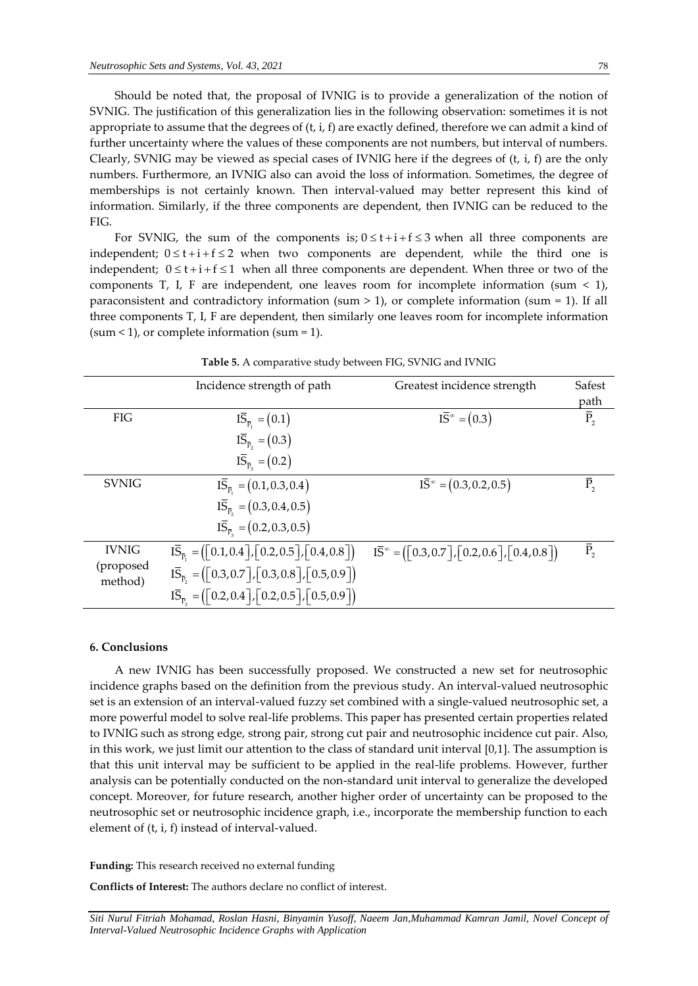Should be noted that, the proposal of IVNIG is to provide a generalization of the notion of SVNIG. The justification of this generalization lies in the following observation: sometimes it is not appropriate to assume that the degrees of  $(t, i, f)$  are exactly defined, therefore we can admit a kind of further uncertainty where the values of these components are not numbers, but interval of numbers. Clearly, SVNIG may be viewed as special cases of IVNIG here if the degrees of  $(t, i, f)$  are the only numbers. Furthermore, an IVNIG also can avoid the loss of information. Sometimes, the degree of memberships is not certainly known. Then interval-valued may better represent this kind of information. Similarly, if the three components are dependent, then IVNIG can be reduced to the FIG.

For SVNIG, the sum of the components is;  $0 \le t + i + f \le 3$  when all three components are independent;  $0 \le t + i + f \le 2$  when two components are dependent, while the third one is independent;  $0 \le t + i + f \le 1$  when all three components are dependent. When three or two of the components T, I, F are independent, one leaves room for incomplete information (sum  $\leq$  1), paraconsistent and contradictory information (sum  $> 1$ ), or complete information (sum = 1). If all three components T, I, F are dependent, then similarly one leaves room for incomplete information  $(sum < 1)$ , or complete information  $(sum = 1)$ .

|                      | Incidence strength of path                                                                                                                                  | Greatest incidence strength                                                                    | Safest             |
|----------------------|-------------------------------------------------------------------------------------------------------------------------------------------------------------|------------------------------------------------------------------------------------------------|--------------------|
|                      |                                                                                                                                                             |                                                                                                | path               |
| <b>FIG</b>           | $I\bar{S}_{\bar{p}} = (0.1)$                                                                                                                                | $I\bar{S}^{\infty} = (0.3)$                                                                    | $\bar{P}_{2}$      |
|                      | $I\bar{S}_{\bar{P}_{2}} = (0.3)$                                                                                                                            |                                                                                                |                    |
|                      | $I\bar{S}_{\bar{P}_2} = (0.2)$                                                                                                                              |                                                                                                |                    |
| <b>SVNIG</b>         | $I\overline{S}_{\overline{P}} = (0.1, 0.3, 0.4)$                                                                                                            | $\overline{IS}^{\infty} = (0.3, 0.2, 0.5)$                                                     | $\overline{P}_{2}$ |
|                      | $I\overline{S}_{\overline{P}_2} = (0.3, 0.4, 0.5)$                                                                                                          |                                                                                                |                    |
|                      | $I\overline{S}_{\overline{P}_2} = (0.2, 0.3, 0.5)$                                                                                                          |                                                                                                |                    |
| <b>IVNIG</b>         | $\overline{IS}_{\overline{P}} = (\left\lceil 0.1, 0.4 \right\rceil, \left\lceil 0.2, 0.5 \right\rceil, \left\lceil 0.4, 0.8 \right\rceil)$                  | $I\bar{S}^{\infty} = (\lceil 0.3, 0.7 \rceil, \lceil 0.2, 0.6 \rceil, \lceil 0.4, 0.8 \rceil)$ | $\overline{P}_{2}$ |
| (proposed<br>method) | $I\bar{S}_{\bar{P}_s} = (\lceil 0.3, 0.7 \rceil, \lceil 0.3, 0.8 \rceil, \lceil 0.5, 0.9 \rceil)$                                                           |                                                                                                |                    |
|                      | $I\overline{S}_{\overline{P}_s} = (\begin{bmatrix} 0.2, 0.4 \end{bmatrix}, \begin{bmatrix} 0.2, 0.5 \end{bmatrix}, \begin{bmatrix} 0.5, 0.9 \end{bmatrix})$ |                                                                                                |                    |

**Table 5.** A comparative study between FIG, SVNIG and IVNIG

#### **6. Conclusions**

A new IVNIG has been successfully proposed. We constructed a new set for neutrosophic incidence graphs based on the definition from the previous study. An interval-valued neutrosophic set is an extension of an interval-valued fuzzy set combined with a single-valued neutrosophic set, a more powerful model to solve real-life problems. This paper has presented certain properties related to IVNIG such as strong edge, strong pair, strong cut pair and neutrosophic incidence cut pair. Also, in this work, we just limit our attention to the class of standard unit interval [0,1]. The assumption is that this unit interval may be sufficient to be applied in the real-life problems. However, further analysis can be potentially conducted on the non-standard unit interval to generalize the developed concept. Moreover, for future research, another higher order of uncertainty can be proposed to the neutrosophic set or neutrosophic incidence graph, i.e., incorporate the membership function to each element of (t, i, f) instead of interval-valued.

**Funding:** This research received no external funding

**Conflicts of Interest:** The authors declare no conflict of interest.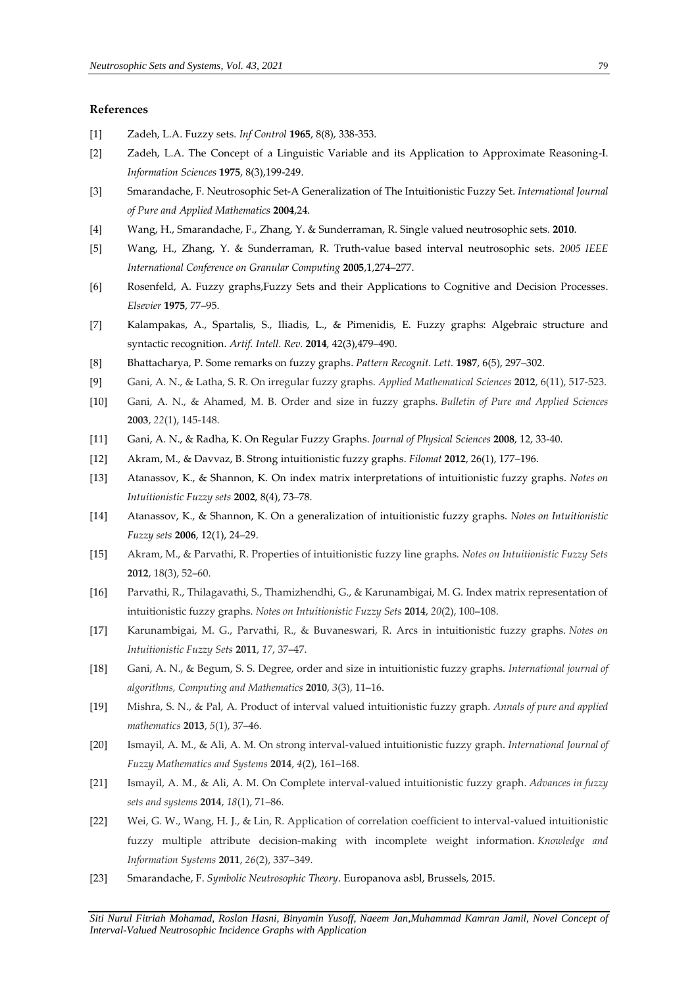## **References**

- [1] Zadeh, L.A. Fuzzy sets. *Inf Control* **1965**, 8(8), 338-353.
- [2] Zadeh, L.A. The Concept of a Linguistic Variable and its Application to Approximate Reasoning-I. *Information Sciences* **1975**, 8(3),199-249.
- [3] Smarandache, F. Neutrosophic Set-A Generalization of The Intuitionistic Fuzzy Set. *International Journal of Pure and Applied Mathematics* **2004**,24.
- [4] Wang, H., Smarandache, F., Zhang, Y. & Sunderraman, R. Single valued neutrosophic sets*.* **2010**.
- [5] Wang, H., Zhang, Y. & Sunderraman, R. Truth-value based interval neutrosophic sets. *2005 IEEE International Conference on Granular Computing* **2005**,1,274–277.
- [6] Rosenfeld, A. Fuzzy graphs,Fuzzy Sets and their Applications to Cognitive and Decision Processes. *Elsevier* **1975**, 77–95.
- [7] Kalampakas, A., Spartalis, S., Iliadis, L., & Pimenidis, E. Fuzzy graphs: Algebraic structure and syntactic recognition. *Artif. Intell. Rev.* **2014**, 42(3),479–490.
- [8] Bhattacharya, P. Some remarks on fuzzy graphs. *Pattern Recognit. Lett.* **1987**, 6(5), 297–302.
- [9] Gani, A. N., & Latha, S. R. On irregular fuzzy graphs. *Applied Mathematical Sciences* **2012**, 6(11), 517-523.
- [10] Gani, A. N., & Ahamed, M. B. Order and size in fuzzy graphs. *Bulletin of Pure and Applied Sciences*  **2003**, *22*(1), 145-148.
- [11] Gani, A. N., & Radha, K. On Regular Fuzzy Graphs. *Journal of Physical Sciences* **2008**, 12, 33-40.
- [12] Akram, M., & Davvaz, B. Strong intuitionistic fuzzy graphs. *Filomat* **2012**, 26(1), 177–196.
- [13] Atanassov, K., & Shannon, K. On index matrix interpretations of intuitionistic fuzzy graphs. *Notes on Intuitionistic Fuzzy sets* **2002**, 8(4), 73–78.
- [14] Atanassov, K., & Shannon, K. On a generalization of intuitionistic fuzzy graphs. *Notes on Intuitionistic Fuzzy sets* **2006**, 12(1), 24–29.
- [15] Akram, M., & Parvathi, R. Properties of intuitionistic fuzzy line graphs. *Notes on Intuitionistic Fuzzy Sets* **2012**, 18(3), 52–60.
- [16] Parvathi, R., Thilagavathi, S., Thamizhendhi, G., & Karunambigai, M. G. Index matrix representation of intuitionistic fuzzy graphs. *Notes on Intuitionistic Fuzzy Sets* **2014**, *20*(2), 100–108.
- [17] Karunambigai, M. G., Parvathi, R., & Buvaneswari, R. Arcs in intuitionistic fuzzy graphs. *Notes on Intuitionistic Fuzzy Sets* **2011**, *17*, 37–47.
- [18] Gani, A. N., & Begum, S. S. Degree, order and size in intuitionistic fuzzy graphs. *International journal of algorithms, Computing and Mathematics* **2010**, *3*(3), 11–16.
- [19] Mishra, S. N., & Pal, A. Product of interval valued intuitionistic fuzzy graph. *Annals of pure and applied mathematics* **2013**, *5*(1), 37–46.
- [20] Ismayil, A. M., & Ali, A. M. On strong interval-valued intuitionistic fuzzy graph. *International Journal of Fuzzy Mathematics and Systems* **2014**, *4*(2), 161–168.
- [21] Ismayil, A. M., & Ali, A. M. On Complete interval-valued intuitionistic fuzzy graph. *Advances in fuzzy sets and systems* **2014**, *18*(1), 71–86.
- [22] Wei, G. W., Wang, H. J., & Lin, R. Application of correlation coefficient to interval-valued intuitionistic fuzzy multiple attribute decision-making with incomplete weight information. *Knowledge and Information Systems* **2011**, *26*(2), 337–349.
- [23] Smarandache, F. *Symbolic Neutrosophic Theory*. Europanova asbl, Brussels, 2015.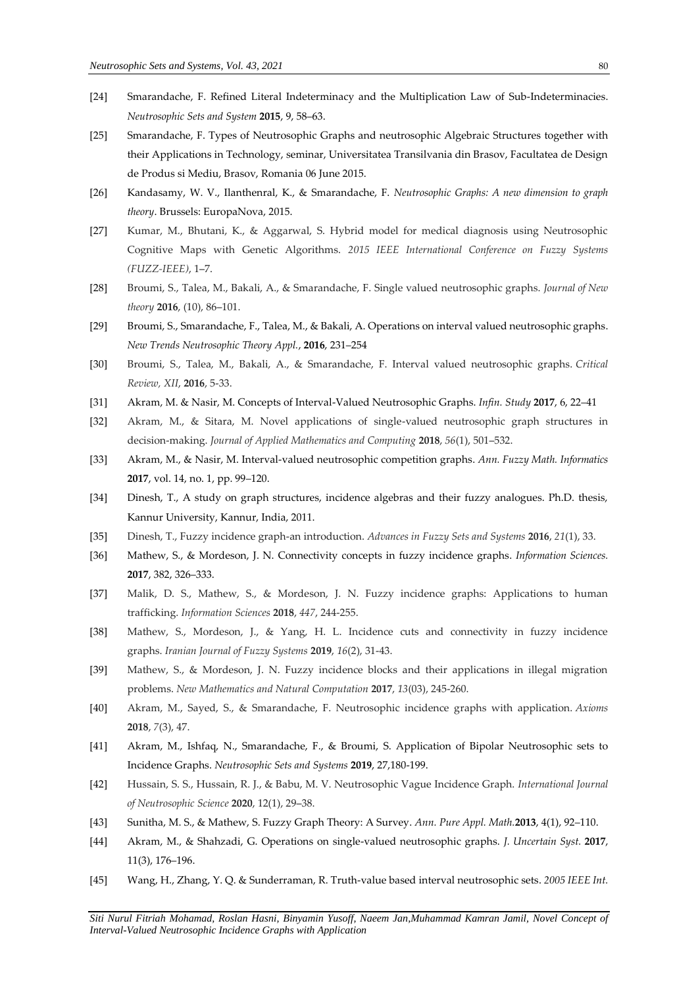- [24] Smarandache, F. Refined Literal Indeterminacy and the Multiplication Law of Sub-Indeterminacies. *Neutrosophic Sets and System* **2015**, 9, 58–63.
- [25] Smarandache, F. Types of Neutrosophic Graphs and neutrosophic Algebraic Structures together with their Applications in Technology, seminar, Universitatea Transilvania din Brasov, Facultatea de Design de Produs si Mediu, Brasov, Romania 06 June 2015.
- [26] Kandasamy, W. V., Ilanthenral, K., & Smarandache, F. *Neutrosophic Graphs: A new dimension to graph theory*. Brussels: EuropaNova, 2015.
- [27] Kumar, M., Bhutani, K., & Aggarwal, S. Hybrid model for medical diagnosis using Neutrosophic Cognitive Maps with Genetic Algorithms. *2015 IEEE International Conference on Fuzzy Systems (FUZZ-IEEE)*, 1–7.
- [28] Broumi, S., Talea, M., Bakali, A., & Smarandache, F. Single valued neutrosophic graphs. *Journal of New theory* **2016**, (10), 86–101.
- [29] Broumi, S., Smarandache, F., Talea, M., & Bakali, A. Operations on interval valued neutrosophic graphs. *New Trends Neutrosophic Theory Appl.*, **2016**, 231–254
- [30] Broumi, S., Talea, M., Bakali, A., & Smarandache, F. Interval valued neutrosophic graphs. *Critical Review, XII*, **2016**, 5-33.
- [31] Akram, M. & Nasir, M. Concepts of Interval-Valued Neutrosophic Graphs. *Infin. Study* **2017**, 6, 22–41
- [32] Akram, M., & Sitara, M. Novel applications of single-valued neutrosophic graph structures in decision-making. *Journal of Applied Mathematics and Computing* **2018**, *56*(1), 501–532.
- [33] Akram, M., & Nasir, M. Interval-valued neutrosophic competition graphs. *Ann. Fuzzy Math. Informatics* **2017**, vol. 14, no. 1, pp. 99–120.
- [34] Dinesh, T., A study on graph structures, incidence algebras and their fuzzy analogues. Ph.D. thesis, Kannur University, Kannur, India, 2011.
- [35] Dinesh, T., Fuzzy incidence graph-an introduction. *Advances in Fuzzy Sets and Systems* **2016**, *21*(1), 33.
- [36] Mathew, S., & Mordeson, J. N. Connectivity concepts in fuzzy incidence graphs. *Information Sciences.* **2017**, 382, 326–333.
- [37] Malik, D. S., Mathew, S., & Mordeson, J. N. Fuzzy incidence graphs: Applications to human trafficking. *Information Sciences* **2018**, *447*, 244-255.
- [38] Mathew, S., Mordeson, J., & Yang, H. L. Incidence cuts and connectivity in fuzzy incidence graphs. *Iranian Journal of Fuzzy Systems* **2019**, *16*(2), 31-43.
- [39] Mathew, S., & Mordeson, J. N. Fuzzy incidence blocks and their applications in illegal migration problems. *New Mathematics and Natural Computation* **2017**, *13*(03), 245-260.
- [40] Akram, M., Sayed, S., & Smarandache, F. Neutrosophic incidence graphs with application. *Axioms*  **2018**, *7*(3), 47.
- [41] Akram, M., Ishfaq, N., Smarandache, F., & Broumi, S. Application of Bipolar Neutrosophic sets to Incidence Graphs. *Neutrosophic Sets and Systems* **2019**, 27,180-199.
- [42] Hussain, S. S., Hussain, R. J., & Babu, M. V. Neutrosophic Vague Incidence Graph. *International Journal of Neutrosophic Science* **2020**, 12(1), 29–38.
- [43] Sunitha, M. S., & Mathew, S. Fuzzy Graph Theory: A Survey. *Ann. Pure Appl. Math.***2013**, 4(1), 92–110.
- [44] Akram, M., & Shahzadi, G. Operations on single-valued neutrosophic graphs. *J. Uncertain Syst.* **2017**, 11(3), 176–196.
- [45] Wang, H., Zhang, Y. Q. & Sunderraman, R. Truth-value based interval neutrosophic sets. *2005 IEEE Int.*